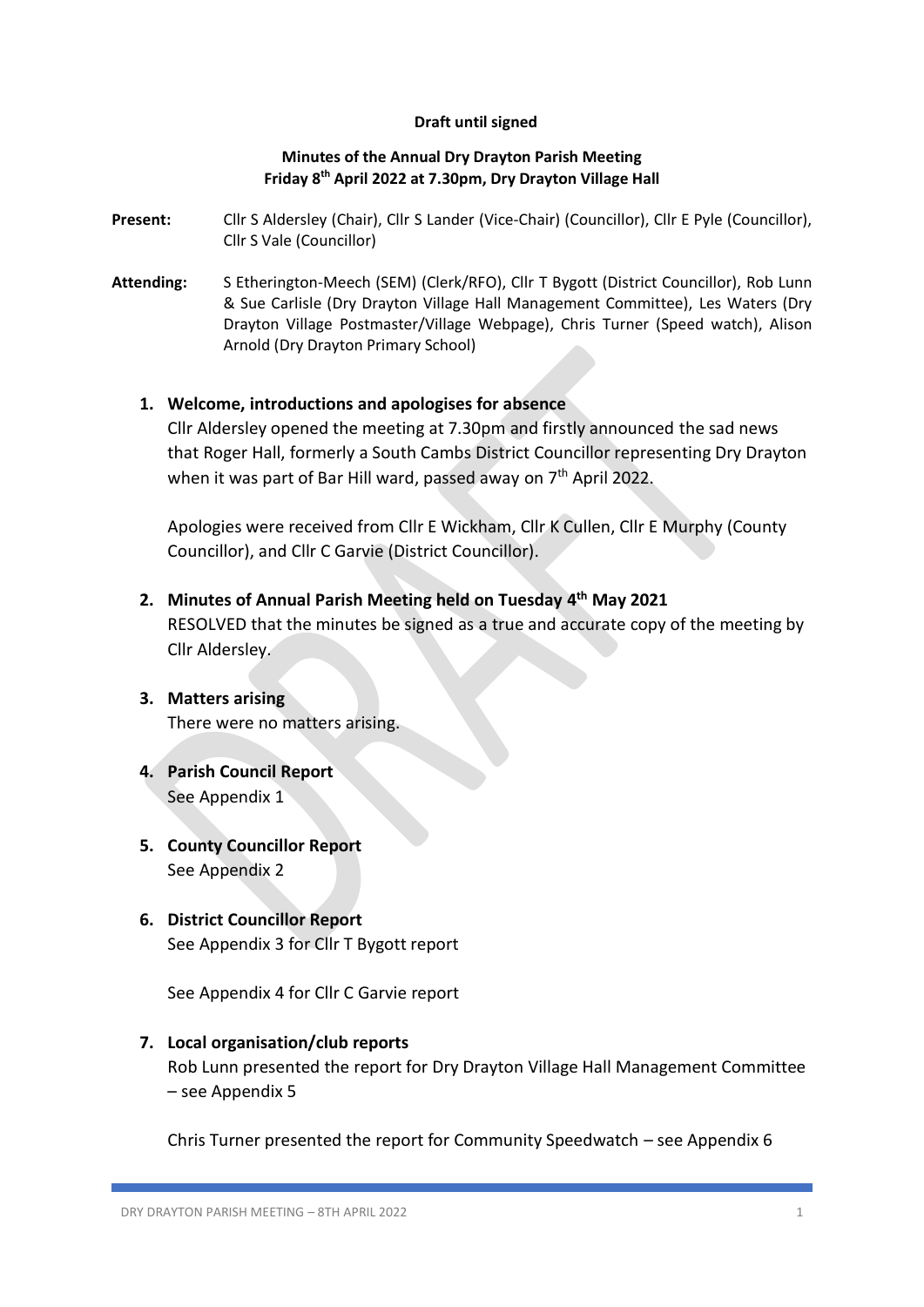## **Draft until signed**

## **Minutes of the Annual Dry Drayton Parish Meeting Friday 8 th April 2022 at 7.30pm, Dry Drayton Village Hall**

- **Present:** Cllr S Aldersley (Chair), Cllr S Lander (Vice-Chair) (Councillor), Cllr E Pyle (Councillor), Cllr S Vale (Councillor)
- **Attending:** S Etherington-Meech (SEM) (Clerk/RFO), Cllr T Bygott (District Councillor), Rob Lunn & Sue Carlisle (Dry Drayton Village Hall Management Committee), Les Waters (Dry Drayton Village Postmaster/Village Webpage), Chris Turner (Speed watch), Alison Arnold (Dry Drayton Primary School)

## **1. Welcome, introductions and apologises for absence**

Cllr Aldersley opened the meeting at 7.30pm and firstly announced the sad news that Roger Hall, formerly a South Cambs District Councillor representing Dry Drayton when it was part of Bar Hill ward, passed away on 7<sup>th</sup> April 2022.

Apologies were received from Cllr E Wickham, Cllr K Cullen, Cllr E Murphy (County Councillor), and Cllr C Garvie (District Councillor).

- **2. Minutes of Annual Parish Meeting held on Tuesday 4 th May 2021** RESOLVED that the minutes be signed as a true and accurate copy of the meeting by Cllr Aldersley.
- **3. Matters arising** There were no matters arising.
- **4. Parish Council Report** See Appendix 1
- **5. County Councillor Report** See Appendix 2
- **6. District Councillor Report** See Appendix 3 for Cllr T Bygott report

See Appendix 4 for Cllr C Garvie report

## **7. Local organisation/club reports**

Rob Lunn presented the report for Dry Drayton Village Hall Management Committee – see Appendix 5

Chris Turner presented the report for Community Speedwatch – see Appendix 6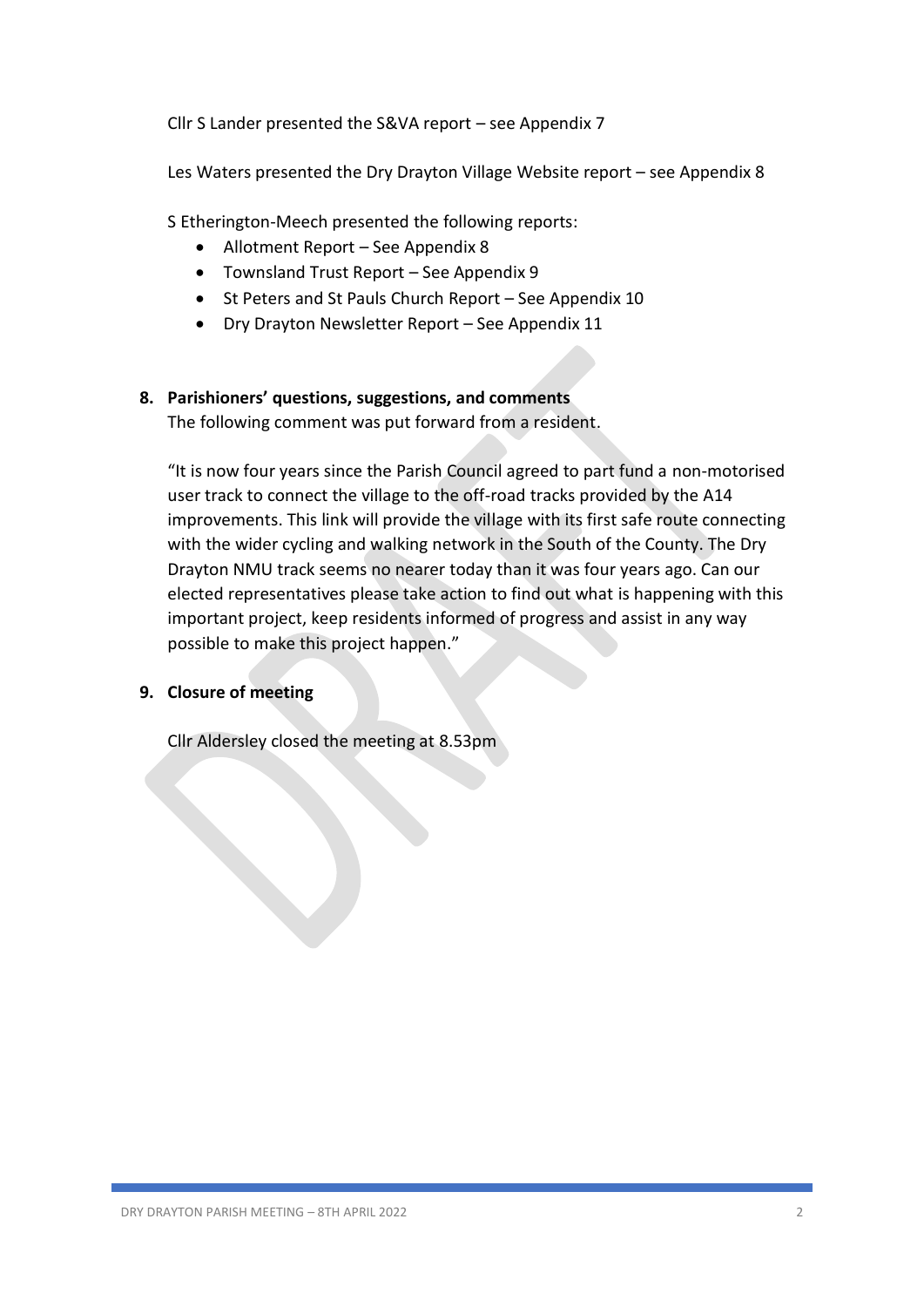Cllr S Lander presented the S&VA report – see Appendix 7

Les Waters presented the Dry Drayton Village Website report – see Appendix 8

S Etherington-Meech presented the following reports:

- Allotment Report See Appendix 8
- Townsland Trust Report See Appendix 9
- St Peters and St Pauls Church Report See Appendix 10
- Dry Drayton Newsletter Report See Appendix 11

## **8. Parishioners' questions, suggestions, and comments**

The following comment was put forward from a resident.

"It is now four years since the Parish Council agreed to part fund a non-motorised user track to connect the village to the off-road tracks provided by the A14 improvements. This link will provide the village with its first safe route connecting with the wider cycling and walking network in the South of the County. The Dry Drayton NMU track seems no nearer today than it was four years ago. Can our elected representatives please take action to find out what is happening with this important project, keep residents informed of progress and assist in any way possible to make this project happen."

## **9. Closure of meeting**

Cllr Aldersley closed the meeting at 8.53pm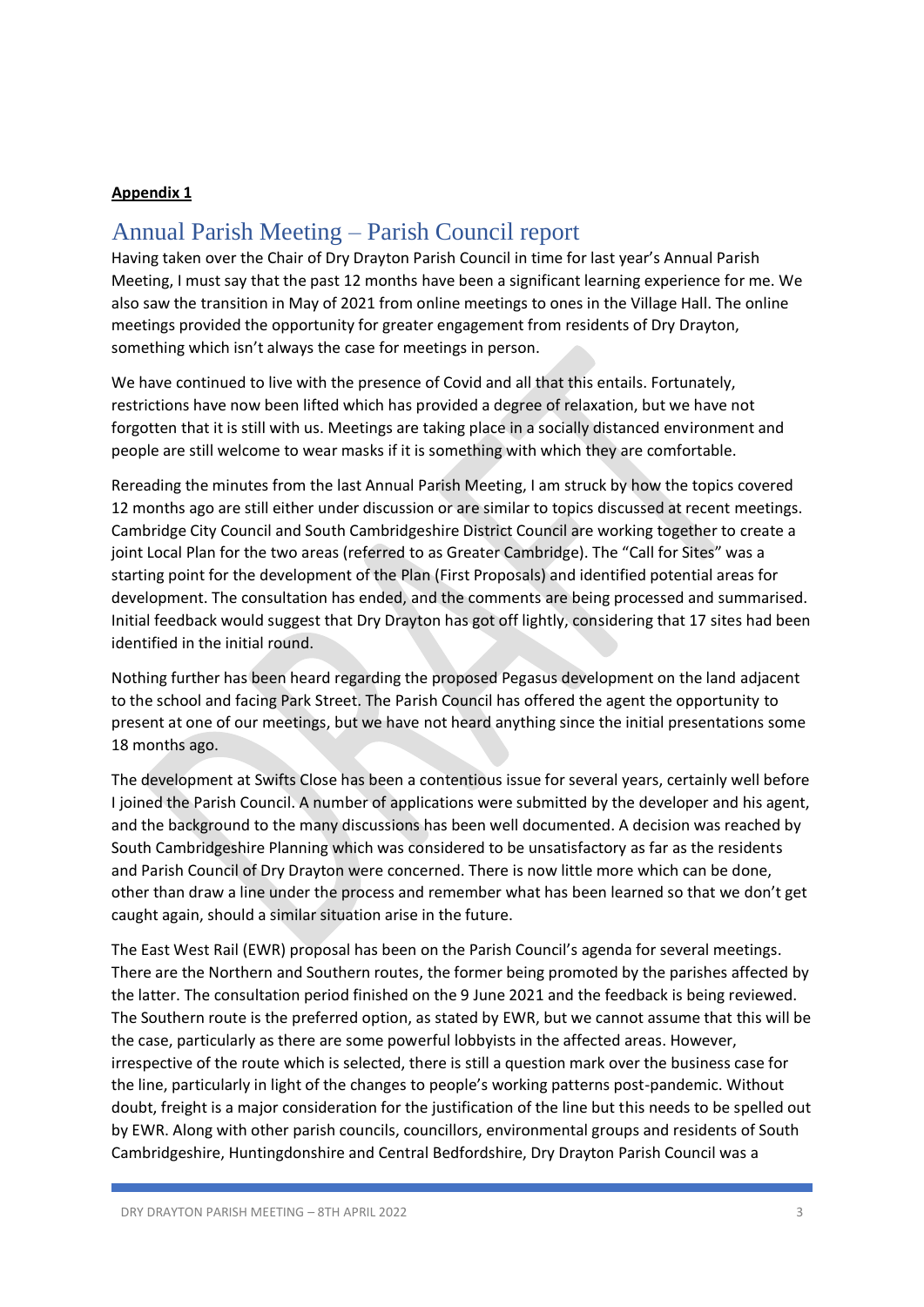## Annual Parish Meeting – Parish Council report

Having taken over the Chair of Dry Drayton Parish Council in time for last year's Annual Parish Meeting, I must say that the past 12 months have been a significant learning experience for me. We also saw the transition in May of 2021 from online meetings to ones in the Village Hall. The online meetings provided the opportunity for greater engagement from residents of Dry Drayton, something which isn't always the case for meetings in person.

We have continued to live with the presence of Covid and all that this entails. Fortunately, restrictions have now been lifted which has provided a degree of relaxation, but we have not forgotten that it is still with us. Meetings are taking place in a socially distanced environment and people are still welcome to wear masks if it is something with which they are comfortable.

Rereading the minutes from the last Annual Parish Meeting, I am struck by how the topics covered 12 months ago are still either under discussion or are similar to topics discussed at recent meetings. Cambridge City Council and South Cambridgeshire District Council are working together to create a joint Local Plan for the two areas (referred to as Greater Cambridge). The "Call for Sites" was a starting point for the development of the Plan (First Proposals) and identified potential areas for development. The consultation has ended, and the comments are being processed and summarised. Initial feedback would suggest that Dry Drayton has got off lightly, considering that 17 sites had been identified in the initial round.

Nothing further has been heard regarding the proposed Pegasus development on the land adjacent to the school and facing Park Street. The Parish Council has offered the agent the opportunity to present at one of our meetings, but we have not heard anything since the initial presentations some 18 months ago.

The development at Swifts Close has been a contentious issue for several years, certainly well before I joined the Parish Council. A number of applications were submitted by the developer and his agent, and the background to the many discussions has been well documented. A decision was reached by South Cambridgeshire Planning which was considered to be unsatisfactory as far as the residents and Parish Council of Dry Drayton were concerned. There is now little more which can be done, other than draw a line under the process and remember what has been learned so that we don't get caught again, should a similar situation arise in the future.

The East West Rail (EWR) proposal has been on the Parish Council's agenda for several meetings. There are the Northern and Southern routes, the former being promoted by the parishes affected by the latter. The consultation period finished on the 9 June 2021 and the feedback is being reviewed. The Southern route is the preferred option, as stated by EWR, but we cannot assume that this will be the case, particularly as there are some powerful lobbyists in the affected areas. However, irrespective of the route which is selected, there is still a question mark over the business case for the line, particularly in light of the changes to people's working patterns post-pandemic. Without doubt, freight is a major consideration for the justification of the line but this needs to be spelled out by EWR. Along with other parish councils, councillors, environmental groups and residents of South Cambridgeshire, Huntingdonshire and Central Bedfordshire, Dry Drayton Parish Council was a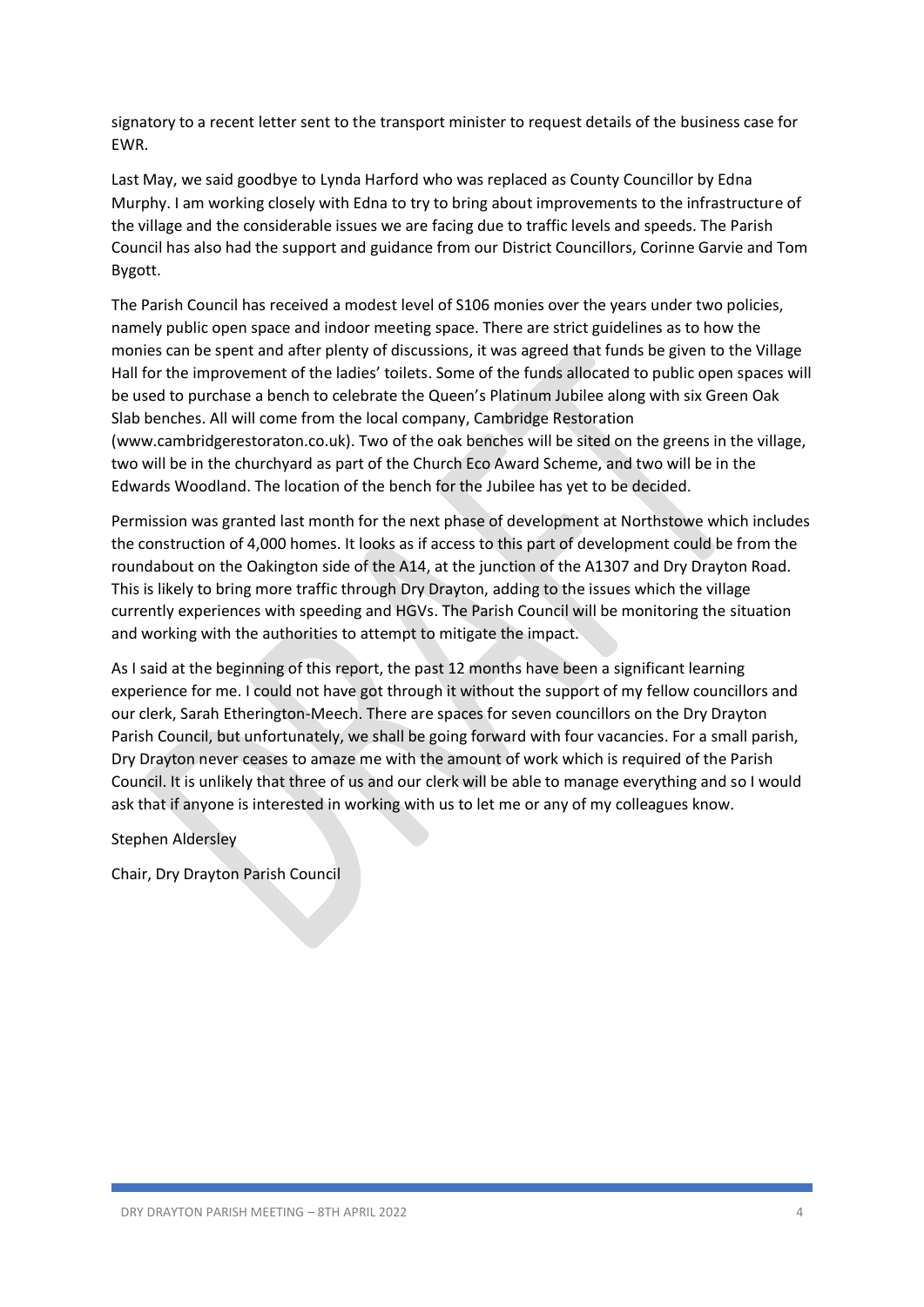signatory to a recent letter sent to the transport minister to request details of the business case for EWR.

Last May, we said goodbye to Lynda Harford who was replaced as County Councillor by Edna Murphy. I am working closely with Edna to try to bring about improvements to the infrastructure of the village and the considerable issues we are facing due to traffic levels and speeds. The Parish Council has also had the support and guidance from our District Councillors, Corinne Garvie and Tom Bygott.

The Parish Council has received a modest level of S106 monies over the years under two policies, namely public open space and indoor meeting space. There are strict guidelines as to how the monies can be spent and after plenty of discussions, it was agreed that funds be given to the Village Hall for the improvement of the ladies' toilets. Some of the funds allocated to public open spaces will be used to purchase a bench to celebrate the Queen's Platinum Jubilee along with six Green Oak Slab benches. All will come from the local company, Cambridge Restoration (www.cambridgerestoraton.co.uk). Two of the oak benches will be sited on the greens in the village, two will be in the churchyard as part of the Church Eco Award Scheme, and two will be in the Edwards Woodland. The location of the bench for the Jubilee has yet to be decided.

Permission was granted last month for the next phase of development at Northstowe which includes the construction of 4,000 homes. It looks as if access to this part of development could be from the roundabout on the Oakington side of the A14, at the junction of the A1307 and Dry Drayton Road. This is likely to bring more traffic through Dry Drayton, adding to the issues which the village currently experiences with speeding and HGVs. The Parish Council will be monitoring the situation and working with the authorities to attempt to mitigate the impact.

As I said at the beginning of this report, the past 12 months have been a significant learning experience for me. I could not have got through it without the support of my fellow councillors and our clerk, Sarah Etherington-Meech. There are spaces for seven councillors on the Dry Drayton Parish Council, but unfortunately, we shall be going forward with four vacancies. For a small parish, Dry Drayton never ceases to amaze me with the amount of work which is required of the Parish Council. It is unlikely that three of us and our clerk will be able to manage everything and so I would ask that if anyone is interested in working with us to let me or any of my colleagues know.

Stephen Aldersley

Chair, Dry Drayton Parish Council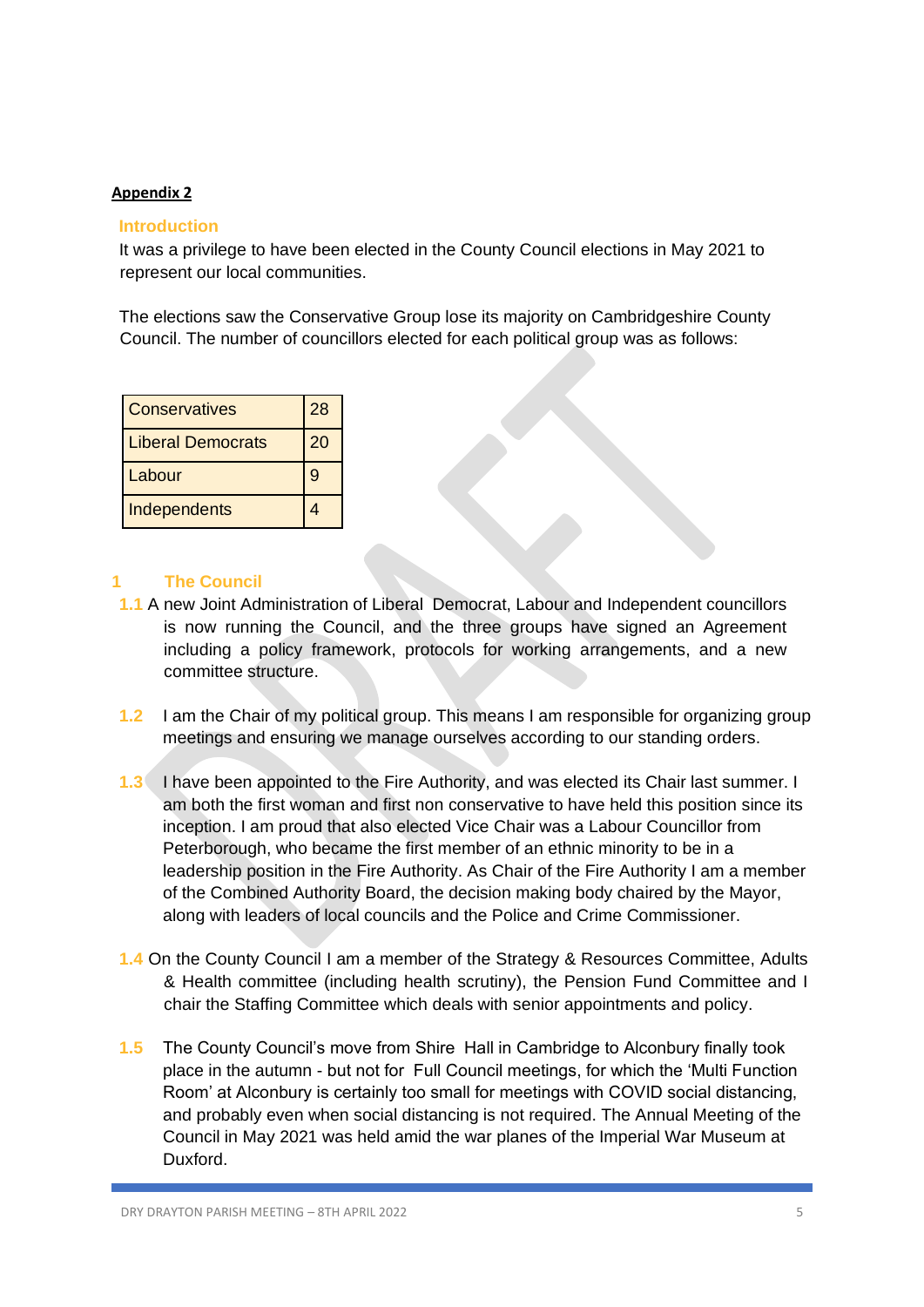## **Introduction**

It was a privilege to have been elected in the County Council elections in May 2021 to represent our local communities.

The elections saw the Conservative Group lose its majority on Cambridgeshire County Council. The number of councillors elected for each political group was as follows:

| <b>Conservatives</b>     | 28 |
|--------------------------|----|
| <b>Liberal Democrats</b> | 20 |
| Labour                   | 9  |
| Independents             |    |

## **1 The Council**

- **1.1** A new Joint Administration of Liberal Democrat, Labour and Independent councillors is now running the Council, and the three groups have signed an Agreement including a policy framework, protocols for working arrangements, and a new committee structure.
- **1.2** I am the Chair of my political group. This means I am responsible for organizing group meetings and ensuring we manage ourselves according to our standing orders.
- **1.3** I have been appointed to the Fire Authority, and was elected its Chair last summer. I am both the first woman and first non conservative to have held this position since its inception. I am proud that also elected Vice Chair was a Labour Councillor from Peterborough, who became the first member of an ethnic minority to be in a leadership position in the Fire Authority. As Chair of the Fire Authority I am a member of the Combined Authority Board, the decision making body chaired by the Mayor, along with leaders of local councils and the Police and Crime Commissioner.
- **1.4** On the County Council I am a member of the Strategy & Resources Committee, Adults & Health committee (including health scrutiny), the Pension Fund Committee and I chair the Staffing Committee which deals with senior appointments and policy.
- **1.5** The County Council's move from Shire Hall in Cambridge to Alconbury finally took place in the autumn - but not for Full Council meetings, for which the 'Multi Function Room' at Alconbury is certainly too small for meetings with COVID social distancing, and probably even when social distancing is not required. The Annual Meeting of the Council in May 2021 was held amid the war planes of the Imperial War Museum at Duxford.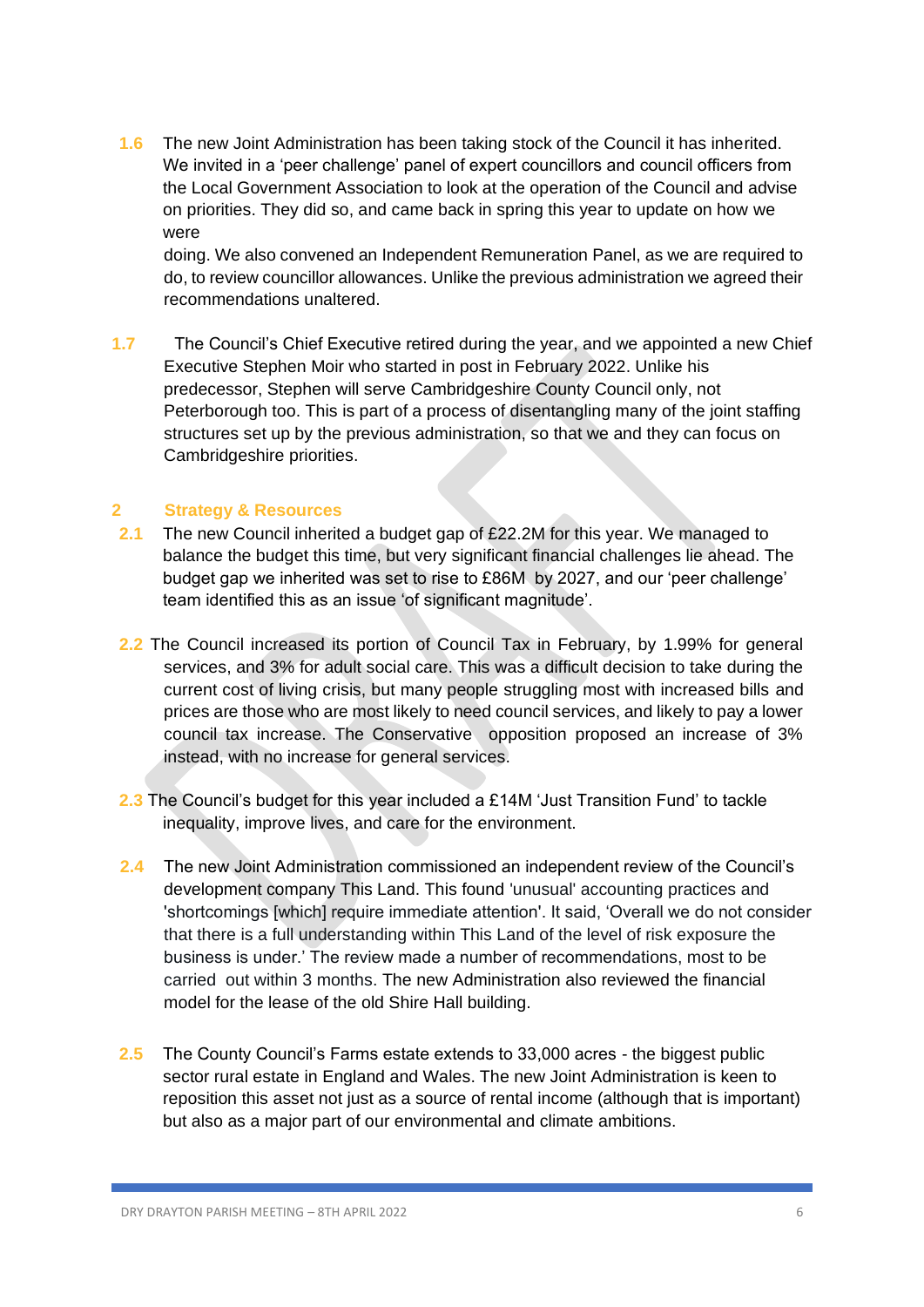**1.6** The new Joint Administration has been taking stock of the Council it has inherited. We invited in a 'peer challenge' panel of expert councillors and council officers from the Local Government Association to look at the operation of the Council and advise on priorities. They did so, and came back in spring this year to update on how we were

doing. We also convened an Independent Remuneration Panel, as we are required to do, to review councillor allowances. Unlike the previous administration we agreed their recommendations unaltered.

**1.7** The Council's Chief Executive retired during the year, and we appointed a new Chief Executive Stephen Moir who started in post in February 2022. Unlike his predecessor, Stephen will serve Cambridgeshire County Council only, not Peterborough too. This is part of a process of disentangling many of the joint staffing structures set up by the previous administration, so that we and they can focus on Cambridgeshire priorities.

## **2 Strategy & Resources**

- **2.1** The new Council inherited a budget gap of £22.2M for this year. We managed to balance the budget this time, but very significant financial challenges lie ahead. The budget gap we inherited was set to rise to £86M by 2027, and our 'peer challenge' team identified this as an issue 'of significant magnitude'.
- **2.2** The Council increased its portion of Council Tax in February, by 1.99% for general services, and 3% for adult social care. This was a difficult decision to take during the current cost of living crisis, but many people struggling most with increased bills and prices are those who are most likely to need council services, and likely to pay a lower council tax increase. The Conservative opposition proposed an increase of 3% instead, with no increase for general services.
- **2.3** The Council's budget for this year included a £14M 'Just Transition Fund' to tackle inequality, improve lives, and care for the environment.
- **2.4** The new Joint Administration commissioned an independent review of the Council's development company This Land. This found 'unusual' accounting practices and 'shortcomings [which] require immediate attention'. It said, 'Overall we do not consider that there is a full understanding within This Land of the level of risk exposure the business is under.' The review made a number of recommendations, most to be carried out within 3 months. The new Administration also reviewed the financial model for the lease of the old Shire Hall building.
- **2.5** The County Council's Farms estate extends to 33,000 acres the biggest public sector rural estate in England and Wales. The new Joint Administration is keen to reposition this asset not just as a source of rental income (although that is important) but also as a major part of our environmental and climate ambitions.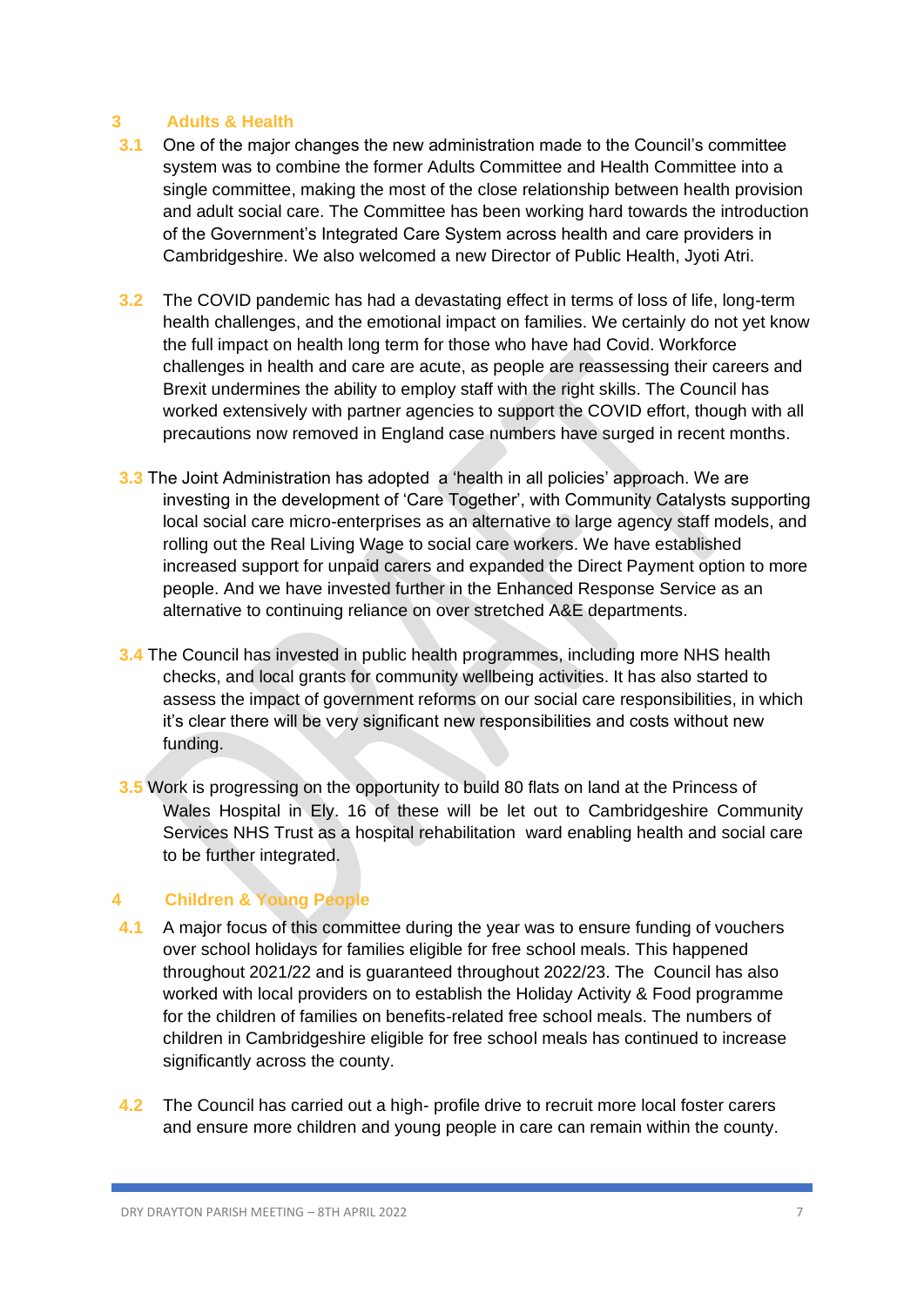## **3 Adults & Health**

- **3.1** One of the major changes the new administration made to the Council's committee system was to combine the former Adults Committee and Health Committee into a single committee, making the most of the close relationship between health provision and adult social care. The Committee has been working hard towards the introduction of the Government's Integrated Care System across health and care providers in Cambridgeshire. We also welcomed a new Director of Public Health, Jyoti Atri.
- **3.2** The COVID pandemic has had a devastating effect in terms of loss of life, long-term health challenges, and the emotional impact on families. We certainly do not yet know the full impact on health long term for those who have had Covid. Workforce challenges in health and care are acute, as people are reassessing their careers and Brexit undermines the ability to employ staff with the right skills. The Council has worked extensively with partner agencies to support the COVID effort, though with all precautions now removed in England case numbers have surged in recent months.
- **3.3** The Joint Administration has adopted a 'health in all policies' approach. We are investing in the development of 'Care Together', with Community Catalysts supporting local social care micro-enterprises as an alternative to large agency staff models, and rolling out the Real Living Wage to social care workers. We have established increased support for unpaid carers and expanded the Direct Payment option to more people. And we have invested further in the Enhanced Response Service as an alternative to continuing reliance on over stretched A&E departments.
- **3.4** The Council has invested in public health programmes, including more NHS health checks, and local grants for community wellbeing activities. It has also started to assess the impact of government reforms on our social care responsibilities, in which it's clear there will be very significant new responsibilities and costs without new funding.
- **3.5** Work is progressing on the opportunity to build 80 flats on land at the Princess of Wales Hospital in Ely. 16 of these will be let out to Cambridgeshire Community Services NHS Trust as a hospital rehabilitation ward enabling health and social care to be further integrated.

## **4 Children & Young People**

- **4.1** A major focus of this committee during the year was to ensure funding of vouchers over school holidays for families eligible for free school meals. This happened throughout 2021/22 and is guaranteed throughout 2022/23. The Council has also worked with local providers on to establish the Holiday Activity & Food programme for the children of families on benefits-related free school meals. The numbers of children in Cambridgeshire eligible for free school meals has continued to increase significantly across the county.
- **4.2** The Council has carried out a high- profile drive to recruit more local foster carers and ensure more children and young people in care can remain within the county.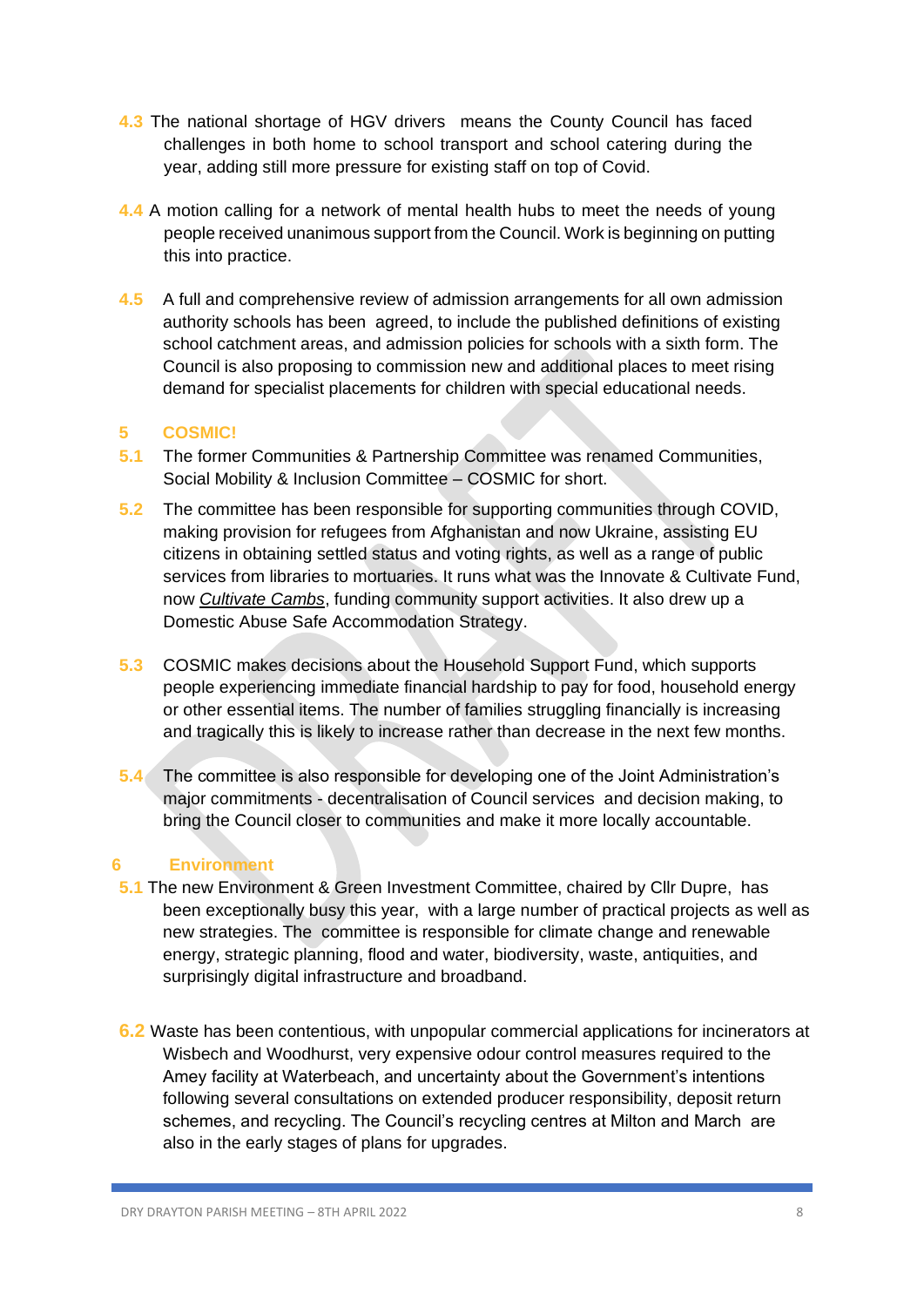- **4.3** The national shortage of HGV drivers means the County Council has faced challenges in both home to school transport and school catering during the year, adding still more pressure for existing staff on top of Covid.
- **4.4** A motion calling for a network of mental health hubs to meet the needs of young people received unanimous support from the Council. Work is beginning on putting this into practice.
- **4.5** A full and comprehensive review of admission arrangements for all own admission authority schools has been agreed, to include the published definitions of existing school catchment areas, and admission policies for schools with a sixth form. The Council is also proposing to commission new and additional places to meet rising demand for specialist placements for children with special educational needs.

## **5 COSMIC!**

- **5.1** The former Communities & Partnership Committee was renamed Communities, Social Mobility & Inclusion Committee – COSMIC for short.
- **5.2** The committee has been responsible for supporting communities through COVID, making provision for refugees from Afghanistan and now Ukraine, assisting EU citizens in obtaining settled status and voting rights, as well as a range of public services from libraries to mortuaries. It runs what was the Innovate & Cultivate Fund, now *Cultivate Cambs*, funding community support activities. It also drew up a Domestic Abuse Safe Accommodation Strategy.
- **5.3** COSMIC makes decisions about the Household Support Fund, which supports people experiencing immediate financial hardship to pay for food, household energy or other essential items. The number of families struggling financially is increasing and tragically this is likely to increase rather than decrease in the next few months.
- **5.4** The committee is also responsible for developing one of the Joint Administration's major commitments - decentralisation of Council services and decision making, to bring the Council closer to communities and make it more locally accountable.

## **6 Environment**

- **5.1** The new Environment & Green Investment Committee, chaired by Cllr Dupre, has been exceptionally busy this year, with a large number of practical projects as well as new strategies. The committee is responsible for climate change and renewable energy, strategic planning, flood and water, biodiversity, waste, antiquities, and surprisingly digital infrastructure and broadband.
- **6.2** Waste has been contentious, with unpopular commercial applications for incinerators at Wisbech and Woodhurst, very expensive odour control measures required to the Amey facility at Waterbeach, and uncertainty about the Government's intentions following several consultations on extended producer responsibility, deposit return schemes, and recycling. The Council's recycling centres at Milton and March are also in the early stages of plans for upgrades.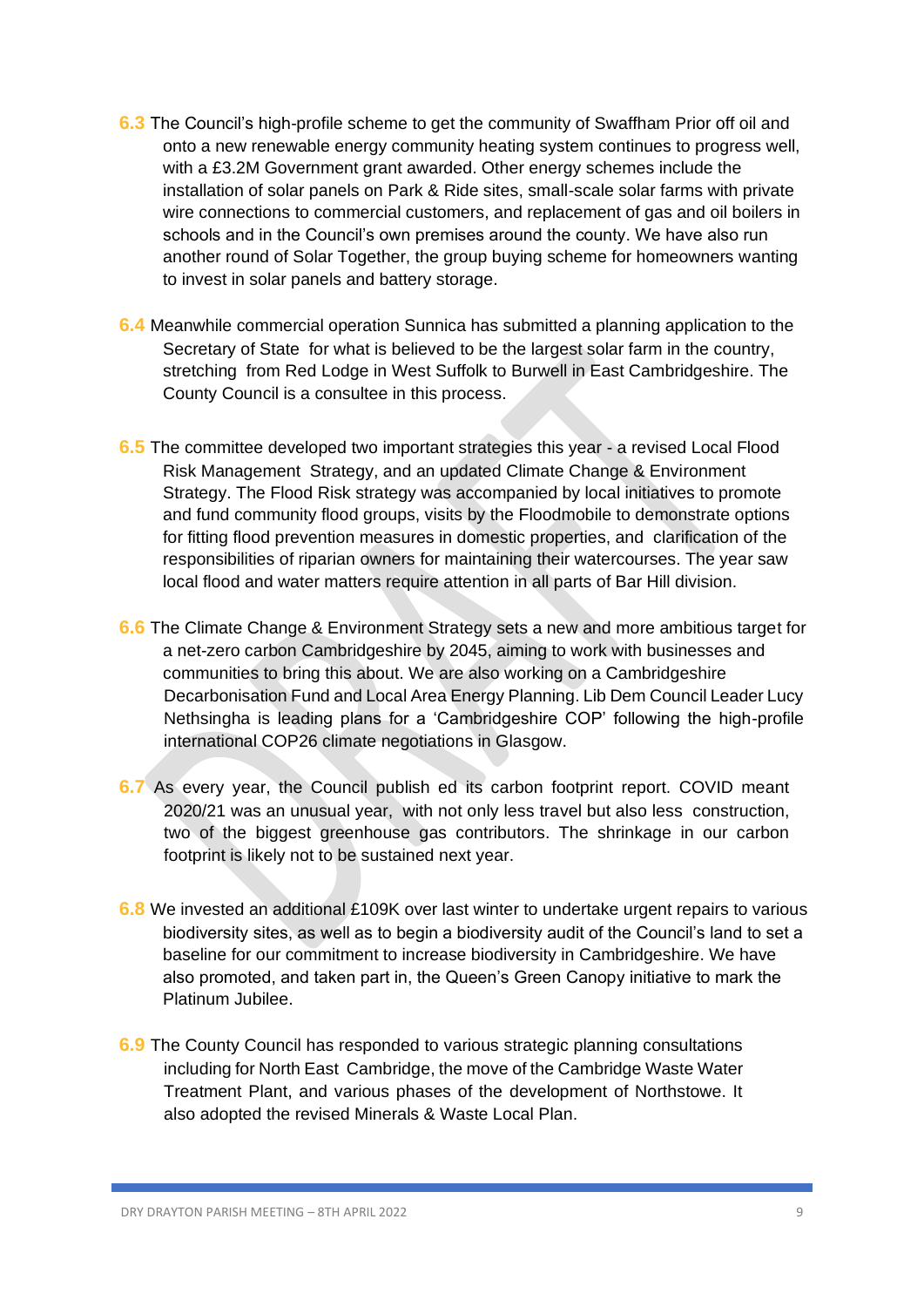- **6.3** The Council's high-profile scheme to get the community of Swaffham Prior off oil and onto a new renewable energy community heating system continues to progress well, with a £3.2M Government grant awarded. Other energy schemes include the installation of solar panels on Park & Ride sites, small-scale solar farms with private wire connections to commercial customers, and replacement of gas and oil boilers in schools and in the Council's own premises around the county. We have also run another round of Solar Together, the group buying scheme for homeowners wanting to invest in solar panels and battery storage.
- **6.4** Meanwhile commercial operation Sunnica has submitted a planning application to the Secretary of State for what is believed to be the largest solar farm in the country, stretching from Red Lodge in West Suffolk to Burwell in East Cambridgeshire. The County Council is a consultee in this process.
- **6.5** The committee developed two important strategies this year a revised Local Flood Risk Management Strategy, and an updated Climate Change & Environment Strategy. The Flood Risk strategy was accompanied by local initiatives to promote and fund community flood groups, visits by the Floodmobile to demonstrate options for fitting flood prevention measures in domestic properties, and clarification of the responsibilities of riparian owners for maintaining their watercourses. The year saw local flood and water matters require attention in all parts of Bar Hill division.
- **6.6** The Climate Change & Environment Strategy sets a new and more ambitious target for a net-zero carbon Cambridgeshire by 2045, aiming to work with businesses and communities to bring this about. We are also working on a Cambridgeshire Decarbonisation Fund and Local Area Energy Planning. Lib Dem Council Leader Lucy Nethsingha is leading plans for a 'Cambridgeshire COP' following the high-profile international COP26 climate negotiations in Glasgow.
- **6.7** As every year, the Council publish ed its carbon footprint report. COVID meant 2020/21 was an unusual year, with not only less travel but also less construction, two of the biggest greenhouse gas contributors. The shrinkage in our carbon footprint is likely not to be sustained next year.
- **6.8** We invested an additional £109K over last winter to undertake urgent repairs to various biodiversity sites, as well as to begin a biodiversity audit of the Council's land to set a baseline for our commitment to increase biodiversity in Cambridgeshire. We have also promoted, and taken part in, the Queen's Green Canopy initiative to mark the Platinum Jubilee.
- **6.9** The County Council has responded to various strategic planning consultations including for North East Cambridge, the move of the Cambridge Waste Water Treatment Plant, and various phases of the development of Northstowe. It also adopted the revised Minerals & Waste Local Plan.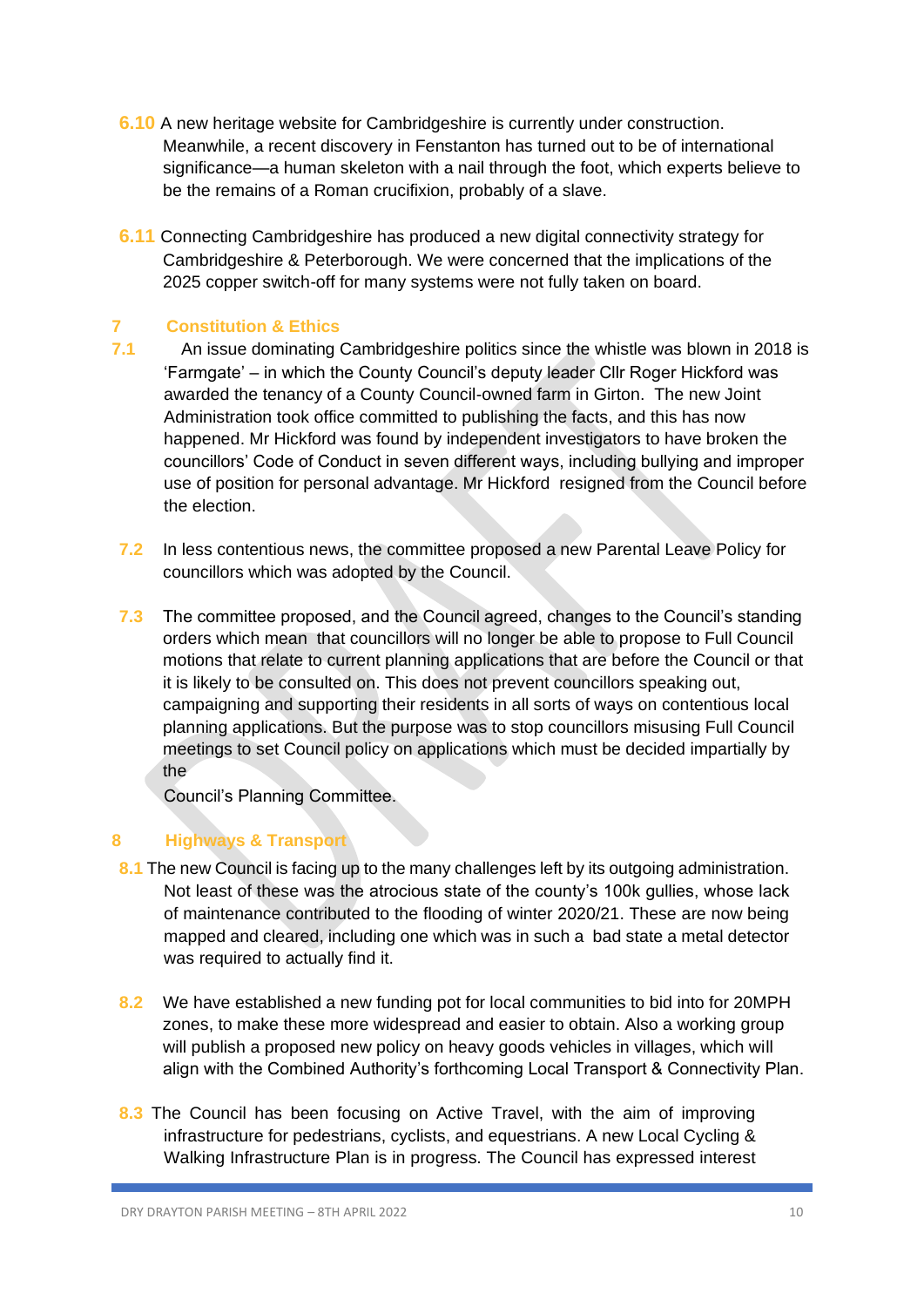- **6.10** A new heritage website for Cambridgeshire is currently under construction. Meanwhile, a recent discovery in Fenstanton has turned out to be of international significance—a human skeleton with a nail through the foot, which experts believe to be the remains of a Roman crucifixion, probably of a slave.
- **6.11** Connecting Cambridgeshire has produced a new digital connectivity strategy for Cambridgeshire & Peterborough. We were concerned that the implications of the 2025 copper switch-off for many systems were not fully taken on board.

## **7 Constitution & Ethics**

- **7.1** An issue dominating Cambridgeshire politics since the whistle was blown in 2018 is 'Farmgate' – in which the County Council's deputy leader Cllr Roger Hickford was awarded the tenancy of a County Council-owned farm in Girton. The new Joint Administration took office committed to publishing the facts, and this has now happened. Mr Hickford was found by independent investigators to have broken the councillors' Code of Conduct in seven different ways, including bullying and improper use of position for personal advantage. Mr Hickford resigned from the Council before the election.
- **7.2** In less contentious news, the committee proposed a new Parental Leave Policy for councillors which was adopted by the Council.
- **7.3** The committee proposed, and the Council agreed, changes to the Council's standing orders which mean that councillors will no longer be able to propose to Full Council motions that relate to current planning applications that are before the Council or that it is likely to be consulted on. This does not prevent councillors speaking out, campaigning and supporting their residents in all sorts of ways on contentious local planning applications. But the purpose was to stop councillors misusing Full Council meetings to set Council policy on applications which must be decided impartially by the

Council's Planning Committee.

## **8 Highways & Transport**

- **8.1** The new Council is facing up to the many challenges left by its outgoing administration. Not least of these was the atrocious state of the county's 100k gullies, whose lack of maintenance contributed to the flooding of winter 2020/21. These are now being mapped and cleared, including one which was in such a bad state a metal detector was required to actually find it.
- **8.2** We have established a new funding pot for local communities to bid into for 20MPH zones, to make these more widespread and easier to obtain. Also a working group will publish a proposed new policy on heavy goods vehicles in villages, which will align with the Combined Authority's forthcoming Local Transport & Connectivity Plan.
- **8.3** The Council has been focusing on Active Travel, with the aim of improving infrastructure for pedestrians, cyclists, and equestrians. A new Local Cycling & Walking Infrastructure Plan is in progress. The Council has expressed interest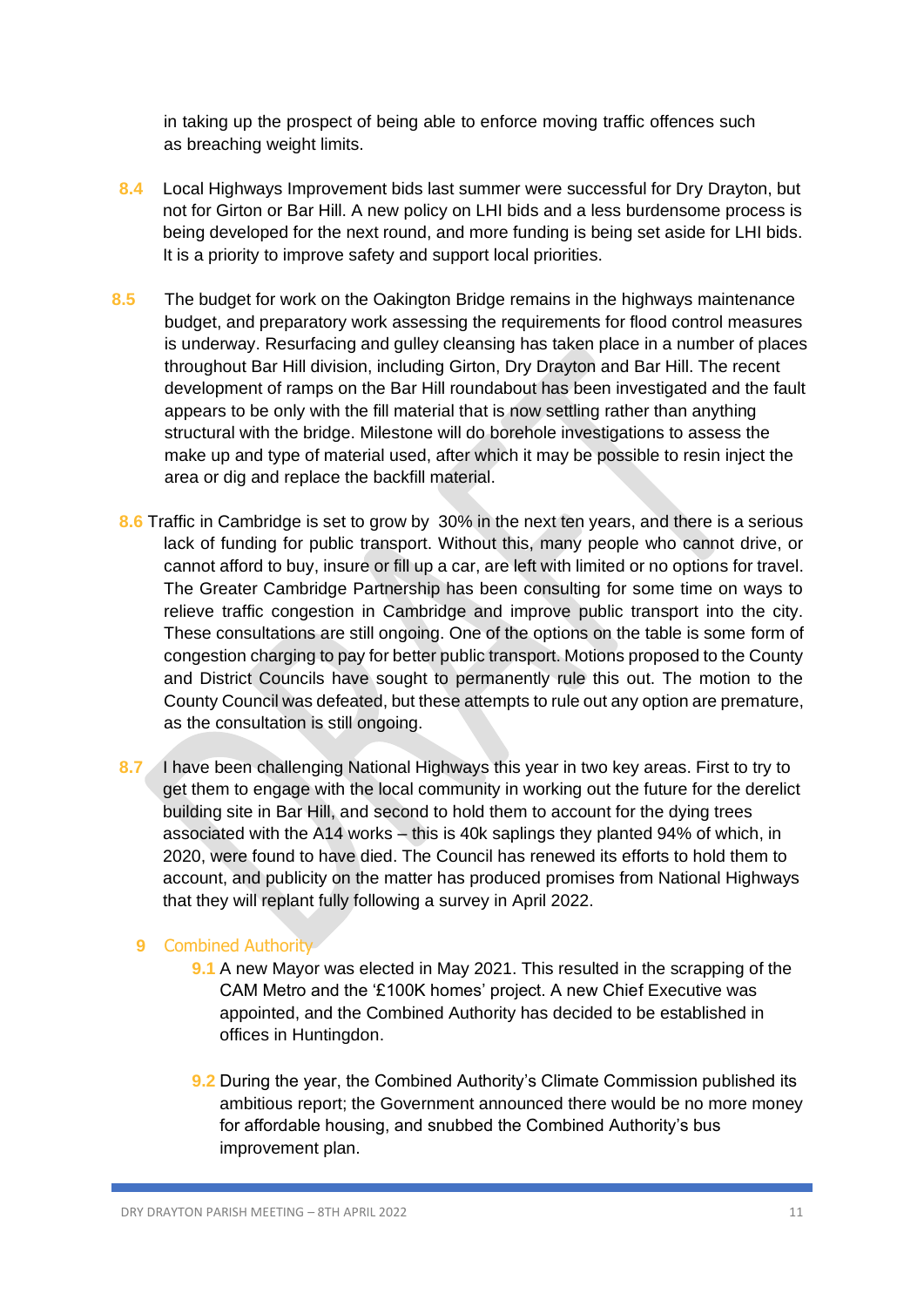in taking up the prospect of being able to enforce moving traffic offences such as breaching weight limits.

- **8.4** Local Highways Improvement bids last summer were successful for Dry Drayton, but not for Girton or Bar Hill. A new policy on LHI bids and a less burdensome process is being developed for the next round, and more funding is being set aside for LHI bids. It is a priority to improve safety and support local priorities.
- **8.5** The budget for work on the Oakington Bridge remains in the highways maintenance budget, and preparatory work assessing the requirements for flood control measures is underway. Resurfacing and gulley cleansing has taken place in a number of places throughout Bar Hill division, including Girton, Dry Drayton and Bar Hill. The recent development of ramps on the Bar Hill roundabout has been investigated and the fault appears to be only with the fill material that is now settling rather than anything structural with the bridge. Milestone will do borehole investigations to assess the make up and type of material used, after which it may be possible to resin inject the area or dig and replace the backfill material.
- **8.6** Traffic in Cambridge is set to grow by 30% in the next ten years, and there is a serious lack of funding for public transport. Without this, many people who cannot drive, or cannot afford to buy, insure or fill up a car, are left with limited or no options for travel. The Greater Cambridge Partnership has been consulting for some time on ways to relieve traffic congestion in Cambridge and improve public transport into the city. These consultations are still ongoing. One of the options on the table is some form of congestion charging to pay for better public transport. Motions proposed to the County and District Councils have sought to permanently rule this out. The motion to the County Council was defeated, but these attempts to rule out any option are premature, as the consultation is still ongoing.
- **8.7** I have been challenging National Highways this year in two key areas. First to try to get them to engage with the local community in working out the future for the derelict building site in Bar Hill, and second to hold them to account for the dying trees associated with the A14 works – this is 40k saplings they planted 94% of which, in 2020, were found to have died. The Council has renewed its efforts to hold them to account, and publicity on the matter has produced promises from National Highways that they will replant fully following a survey in April 2022.

## **9** Combined Authority

- **9.1** A new Mayor was elected in May 2021. This resulted in the scrapping of the CAM Metro and the '£100K homes' project. A new Chief Executive was appointed, and the Combined Authority has decided to be established in offices in Huntingdon.
- **9.2** During the year, the Combined Authority's Climate Commission published its ambitious report; the Government announced there would be no more money for affordable housing, and snubbed the Combined Authority's bus improvement plan.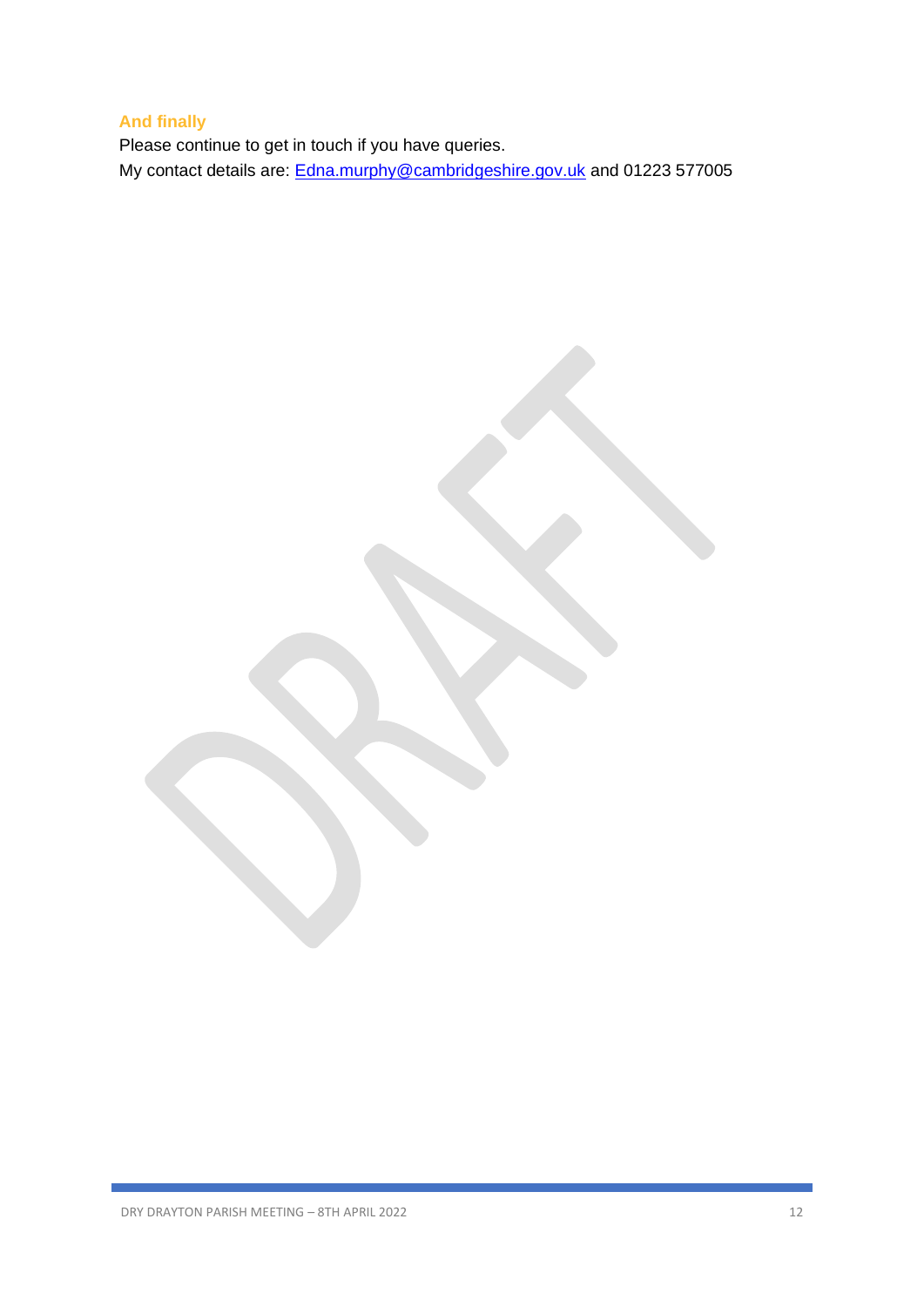## **And finally**

Please continue to get in touch if you have queries. My contact details are: **Edna.murphy@cambridgeshire.gov.uk** and 01223 577005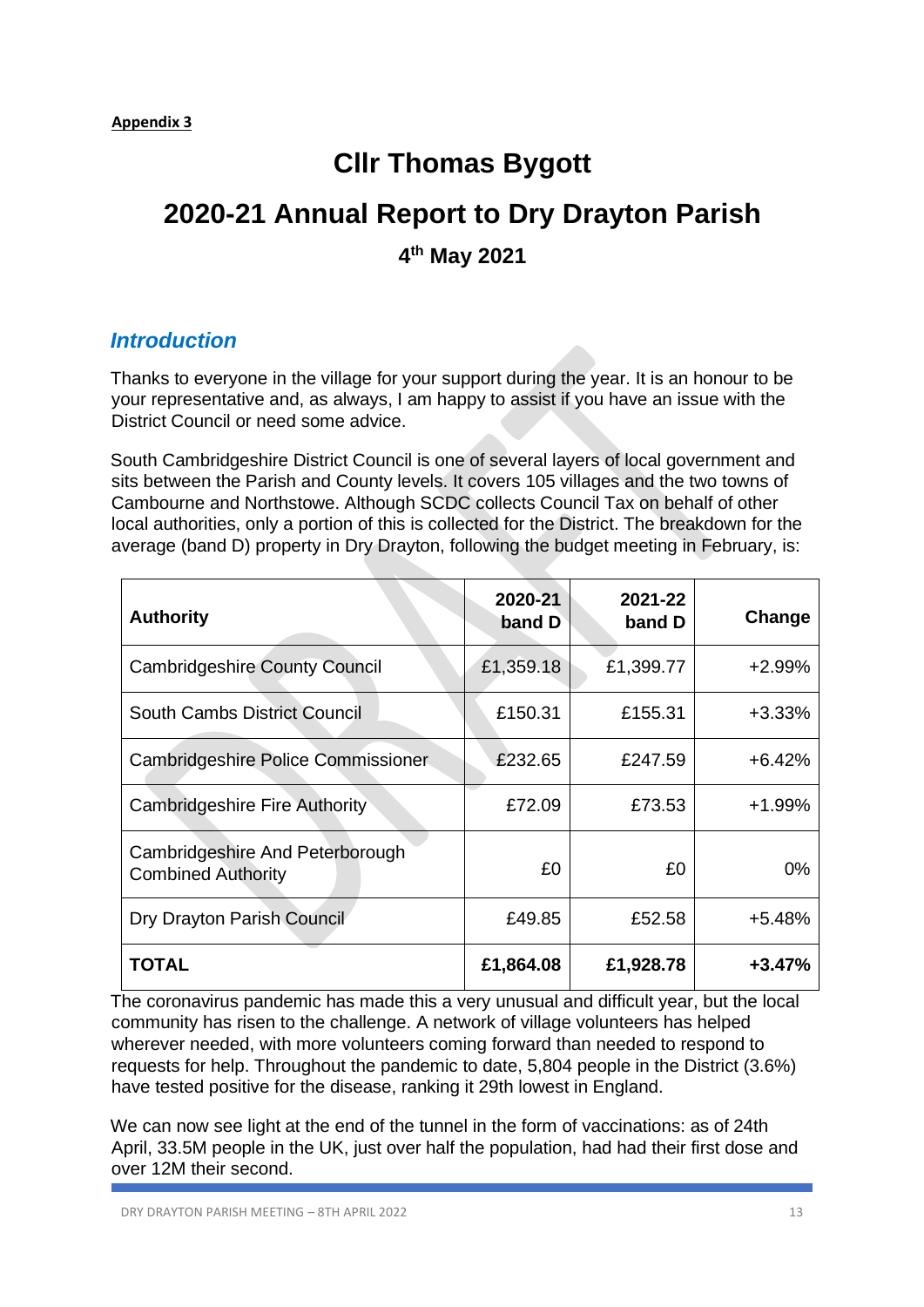# **Cllr Thomas Bygott**

# **2020-21 Annual Report to Dry Drayton Parish**

**4 th May 2021** 

## *Introduction*

Thanks to everyone in the village for your support during the year. It is an honour to be your representative and, as always, I am happy to assist if you have an issue with the District Council or need some advice.

South Cambridgeshire District Council is one of several layers of local government and sits between the Parish and County levels. It covers 105 villages and the two towns of Cambourne and Northstowe. Although SCDC collects Council Tax on behalf of other local authorities, only a portion of this is collected for the District. The breakdown for the average (band D) property in Dry Drayton, following the budget meeting in February, is:

| <b>Authority</b>                                             | 2020-21<br>band D | 2021-22<br>band D | Change   |
|--------------------------------------------------------------|-------------------|-------------------|----------|
| <b>Cambridgeshire County Council</b>                         | £1,359.18         | £1,399.77         | $+2.99%$ |
| <b>South Cambs District Council</b>                          | £150.31           | £155.31           | $+3.33%$ |
| Cambridgeshire Police Commissioner                           | £232.65           | £247.59           | $+6.42%$ |
| <b>Cambridgeshire Fire Authority</b>                         | £72.09            | £73.53            | $+1.99%$ |
| Cambridgeshire And Peterborough<br><b>Combined Authority</b> | £0                | £0                | $0\%$    |
| Dry Drayton Parish Council                                   | £49.85            | £52.58            | $+5.48%$ |
| <b>TOTAL</b>                                                 | £1,864.08         | £1,928.78         | $+3.47%$ |

The coronavirus pandemic has made this a very unusual and difficult year, but the local community has risen to the challenge. A network of village volunteers has helped wherever needed, with more volunteers coming forward than needed to respond to requests for help. Throughout the pandemic to date, 5,804 people in the District (3.6%) have tested positive for the disease, ranking it 29th lowest in England.

We can now see light at the end of the tunnel in the form of vaccinations: as of 24th April, 33.5M people in the UK, just over half the population, had had their first dose and over 12M their second.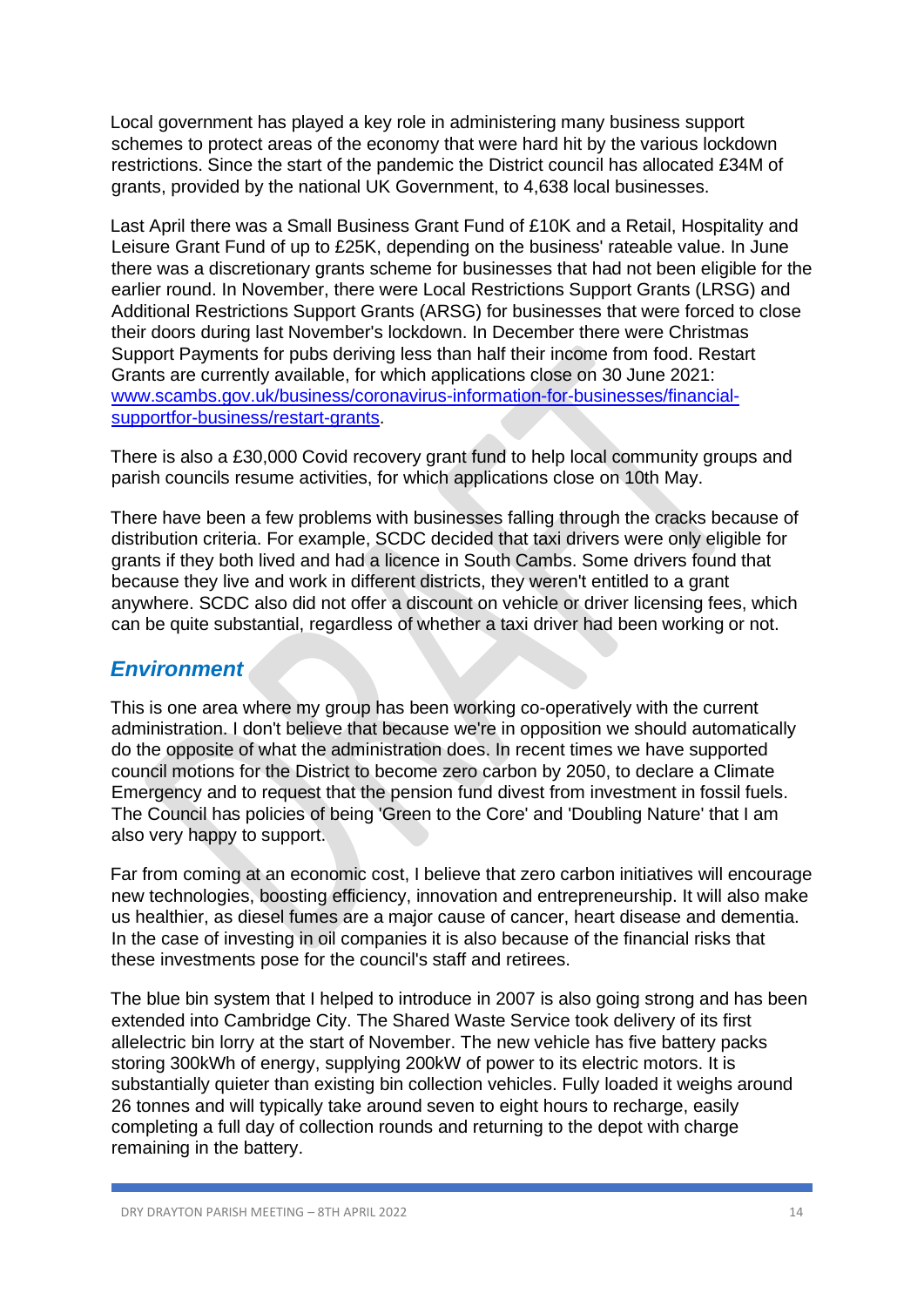Local government has played a key role in administering many business support schemes to protect areas of the economy that were hard hit by the various lockdown restrictions. Since the start of the pandemic the District council has allocated £34M of grants, provided by the national UK Government, to 4,638 local businesses.

Last April there was a Small Business Grant Fund of £10K and a Retail, Hospitality and Leisure Grant Fund of up to £25K, depending on the business' rateable value. In June there was a discretionary grants scheme for businesses that had not been eligible for the earlier round. In November, there were Local Restrictions Support Grants (LRSG) and Additional Restrictions Support Grants (ARSG) for businesses that were forced to close their doors during last November's lockdown. In December there were Christmas Support Payments for pubs deriving less than half their income from food. Restart Grants are currently available, for which applications close on 30 June 2021: www.scambs.gov.uk/business/coronavirus-information-for-businesses/financialsupportfor-business/restart-grants.

There is also a £30,000 Covid recovery grant fund to help local community groups and parish councils resume activities, for which applications close on 10th May.

There have been a few problems with businesses falling through the cracks because of distribution criteria. For example, SCDC decided that taxi drivers were only eligible for grants if they both lived and had a licence in South Cambs. Some drivers found that because they live and work in different districts, they weren't entitled to a grant anywhere. SCDC also did not offer a discount on vehicle or driver licensing fees, which can be quite substantial, regardless of whether a taxi driver had been working or not.

## *Environment*

This is one area where my group has been working co-operatively with the current administration. I don't believe that because we're in opposition we should automatically do the opposite of what the administration does. In recent times we have supported council motions for the District to become zero carbon by 2050, to declare a Climate Emergency and to request that the pension fund divest from investment in fossil fuels. The Council has policies of being 'Green to the Core' and 'Doubling Nature' that I am also very happy to support.

Far from coming at an economic cost, I believe that zero carbon initiatives will encourage new technologies, boosting efficiency, innovation and entrepreneurship. It will also make us healthier, as diesel fumes are a major cause of cancer, heart disease and dementia. In the case of investing in oil companies it is also because of the financial risks that these investments pose for the council's staff and retirees.

The blue bin system that I helped to introduce in 2007 is also going strong and has been extended into Cambridge City. The Shared Waste Service took delivery of its first allelectric bin lorry at the start of November. The new vehicle has five battery packs storing 300kWh of energy, supplying 200kW of power to its electric motors. It is substantially quieter than existing bin collection vehicles. Fully loaded it weighs around 26 tonnes and will typically take around seven to eight hours to recharge, easily completing a full day of collection rounds and returning to the depot with charge remaining in the battery.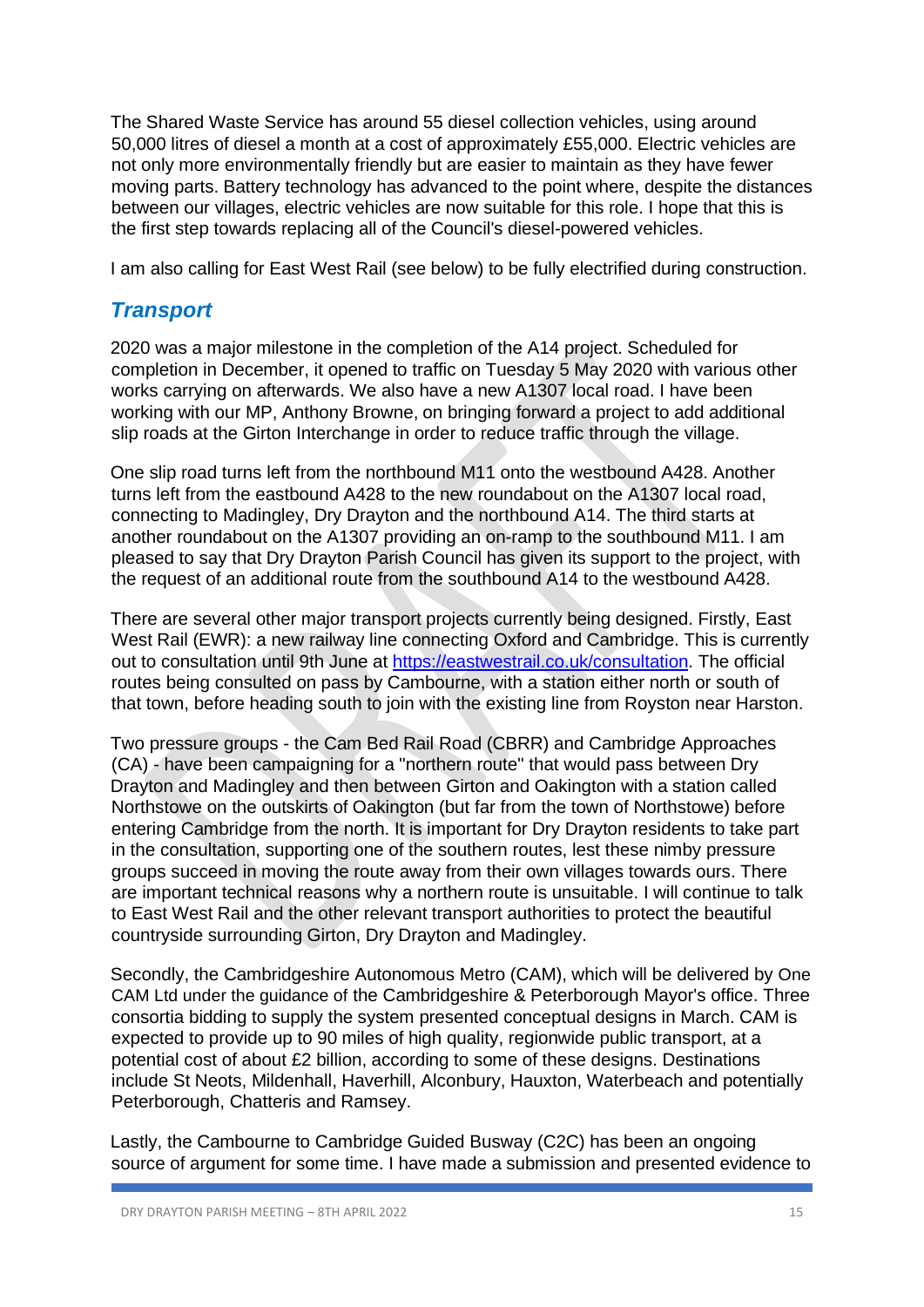The Shared Waste Service has around 55 diesel collection vehicles, using around 50,000 litres of diesel a month at a cost of approximately £55,000. Electric vehicles are not only more environmentally friendly but are easier to maintain as they have fewer moving parts. Battery technology has advanced to the point where, despite the distances between our villages, electric vehicles are now suitable for this role. I hope that this is the first step towards replacing all of the Council's diesel-powered vehicles.

I am also calling for East West Rail (see below) to be fully electrified during construction.

## *Transport*

2020 was a major milestone in the completion of the A14 project. Scheduled for completion in December, it opened to traffic on Tuesday 5 May 2020 with various other works carrying on afterwards. We also have a new A1307 local road. I have been working with our MP, Anthony Browne, on bringing forward a project to add additional slip roads at the Girton Interchange in order to reduce traffic through the village.

One slip road turns left from the northbound M11 onto the westbound A428. Another turns left from the eastbound A428 to the new roundabout on the A1307 local road, connecting to Madingley, Dry Drayton and the northbound A14. The third starts at another roundabout on the A1307 providing an on-ramp to the southbound M11. I am pleased to say that Dry Drayton Parish Council has given its support to the project, with the request of an additional route from the southbound A14 to the westbound A428.

There are several other major transport projects currently being designed. Firstly, East West Rail (EWR): a new railway line connecting Oxford and Cambridge. This is currently out to consultation until 9th June at https://eastwestrail.co.uk/consultation. The official routes being consulted on pass by Cambourne, with a station either north or south of that town, before heading south to join with the existing line from Royston near Harston.

Two pressure groups - the Cam Bed Rail Road (CBRR) and Cambridge Approaches (CA) - have been campaigning for a "northern route" that would pass between Dry Drayton and Madingley and then between Girton and Oakington with a station called Northstowe on the outskirts of Oakington (but far from the town of Northstowe) before entering Cambridge from the north. It is important for Dry Drayton residents to take part in the consultation, supporting one of the southern routes, lest these nimby pressure groups succeed in moving the route away from their own villages towards ours. There are important technical reasons why a northern route is unsuitable. I will continue to talk to East West Rail and the other relevant transport authorities to protect the beautiful countryside surrounding Girton, Dry Drayton and Madingley.

Secondly, the Cambridgeshire Autonomous Metro (CAM), which will be delivered by One CAM Ltd under the guidance of the Cambridgeshire & Peterborough Mayor's office. Three consortia bidding to supply the system presented conceptual designs in March. CAM is expected to provide up to 90 miles of high quality, regionwide public transport, at a potential cost of about £2 billion, according to some of these designs. Destinations include St Neots, Mildenhall, Haverhill, Alconbury, Hauxton, Waterbeach and potentially Peterborough, Chatteris and Ramsey.

Lastly, the Cambourne to Cambridge Guided Busway (C2C) has been an ongoing source of argument for some time. I have made a submission and presented evidence to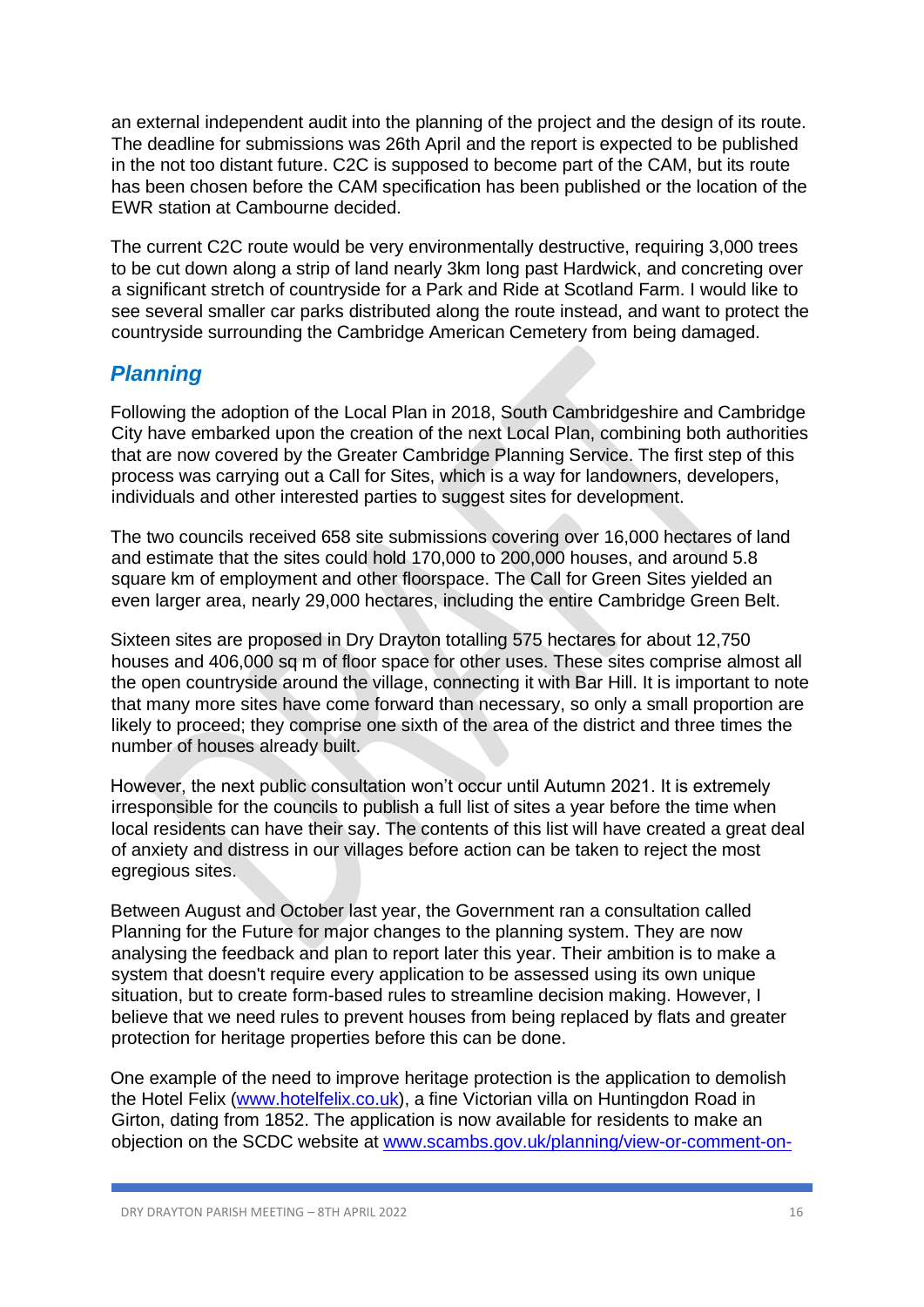an external independent audit into the planning of the project and the design of its route. The deadline for submissions was 26th April and the report is expected to be published in the not too distant future. C2C is supposed to become part of the CAM, but its route has been chosen before the CAM specification has been published or the location of the EWR station at Cambourne decided.

The current C2C route would be very environmentally destructive, requiring 3,000 trees to be cut down along a strip of land nearly 3km long past Hardwick, and concreting over a significant stretch of countryside for a Park and Ride at Scotland Farm. I would like to see several smaller car parks distributed along the route instead, and want to protect the countryside surrounding the Cambridge American Cemetery from being damaged.

## *Planning*

Following the adoption of the Local Plan in 2018, South Cambridgeshire and Cambridge City have embarked upon the creation of the next Local Plan, combining both authorities that are now covered by the Greater Cambridge Planning Service. The first step of this process was carrying out a Call for Sites, which is a way for landowners, developers, individuals and other interested parties to suggest sites for development.

The two councils received 658 site submissions covering over 16,000 hectares of land and estimate that the sites could hold 170,000 to 200,000 houses, and around 5.8 square km of employment and other floorspace. The Call for Green Sites yielded an even larger area, nearly 29,000 hectares, including the entire Cambridge Green Belt.

Sixteen sites are proposed in Dry Drayton totalling 575 hectares for about 12,750 houses and 406,000 sq m of floor space for other uses. These sites comprise almost all the open countryside around the village, connecting it with Bar Hill. It is important to note that many more sites have come forward than necessary, so only a small proportion are likely to proceed; they comprise one sixth of the area of the district and three times the number of houses already built.

However, the next public consultation won't occur until Autumn 2021. It is extremely irresponsible for the councils to publish a full list of sites a year before the time when local residents can have their say. The contents of this list will have created a great deal of anxiety and distress in our villages before action can be taken to reject the most egregious sites.

Between August and October last year, the Government ran a consultation called Planning for the Future for major changes to the planning system. They are now analysing the feedback and plan to report later this year. Their ambition is to make a system that doesn't require every application to be assessed using its own unique situation, but to create form-based rules to streamline decision making. However, I believe that we need rules to prevent houses from being replaced by flats and greater protection for heritage properties before this can be done.

One example of the need to improve heritage protection is the application to demolish the Hotel Felix (www.hotelfelix.co.uk), a fine Victorian villa on Huntingdon Road in Girton, dating from 1852. The application is now available for residents to make an objection on the SCDC website at www.scambs.gov.uk/planning/view-or-comment-on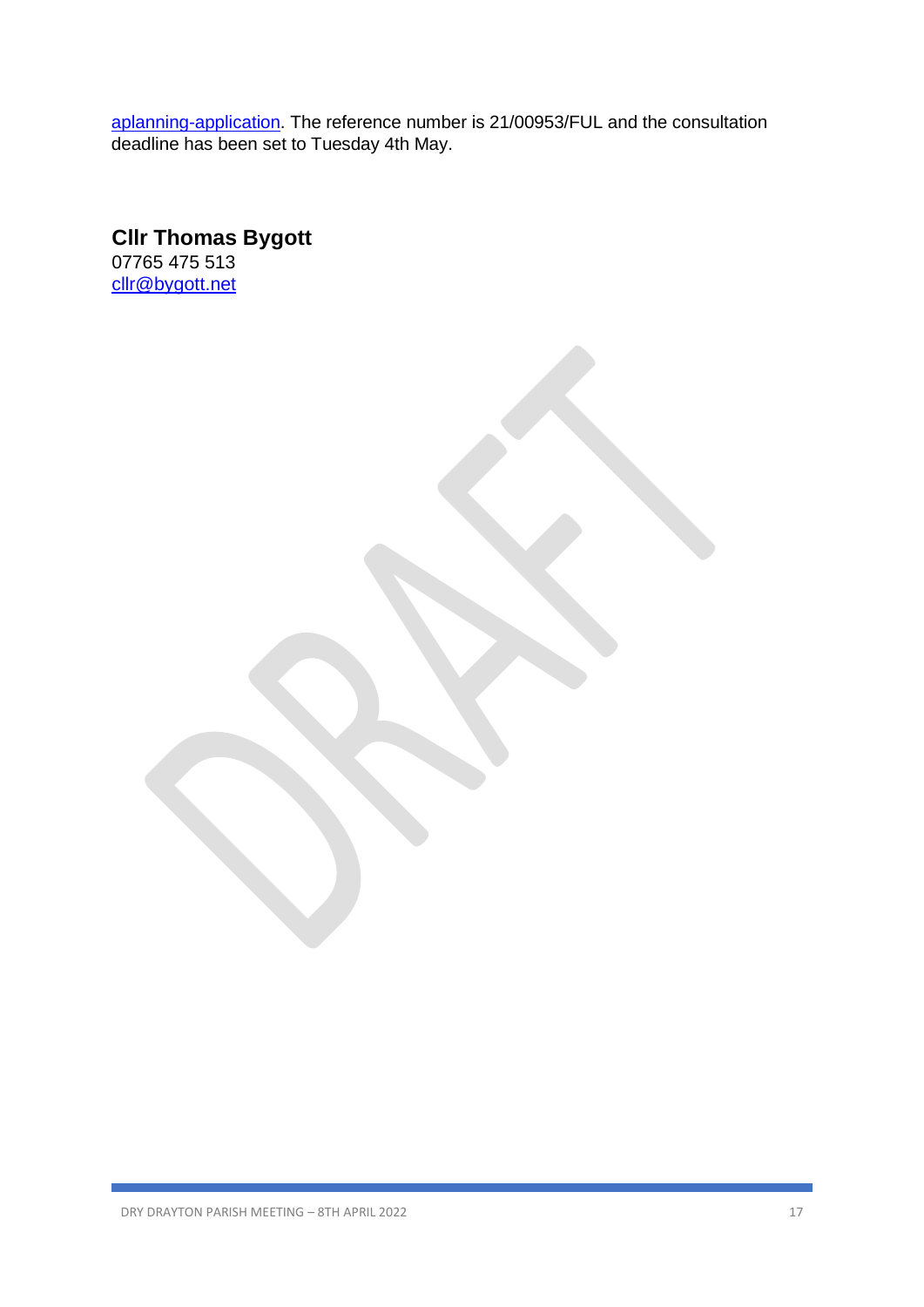aplanning-application. The reference number is 21/00953/FUL and the consultation deadline has been set to Tuesday 4th May.

**Cllr Thomas Bygott** 07765 475 513 [cllr@bygott.net](mailto:cllr@bygott.net)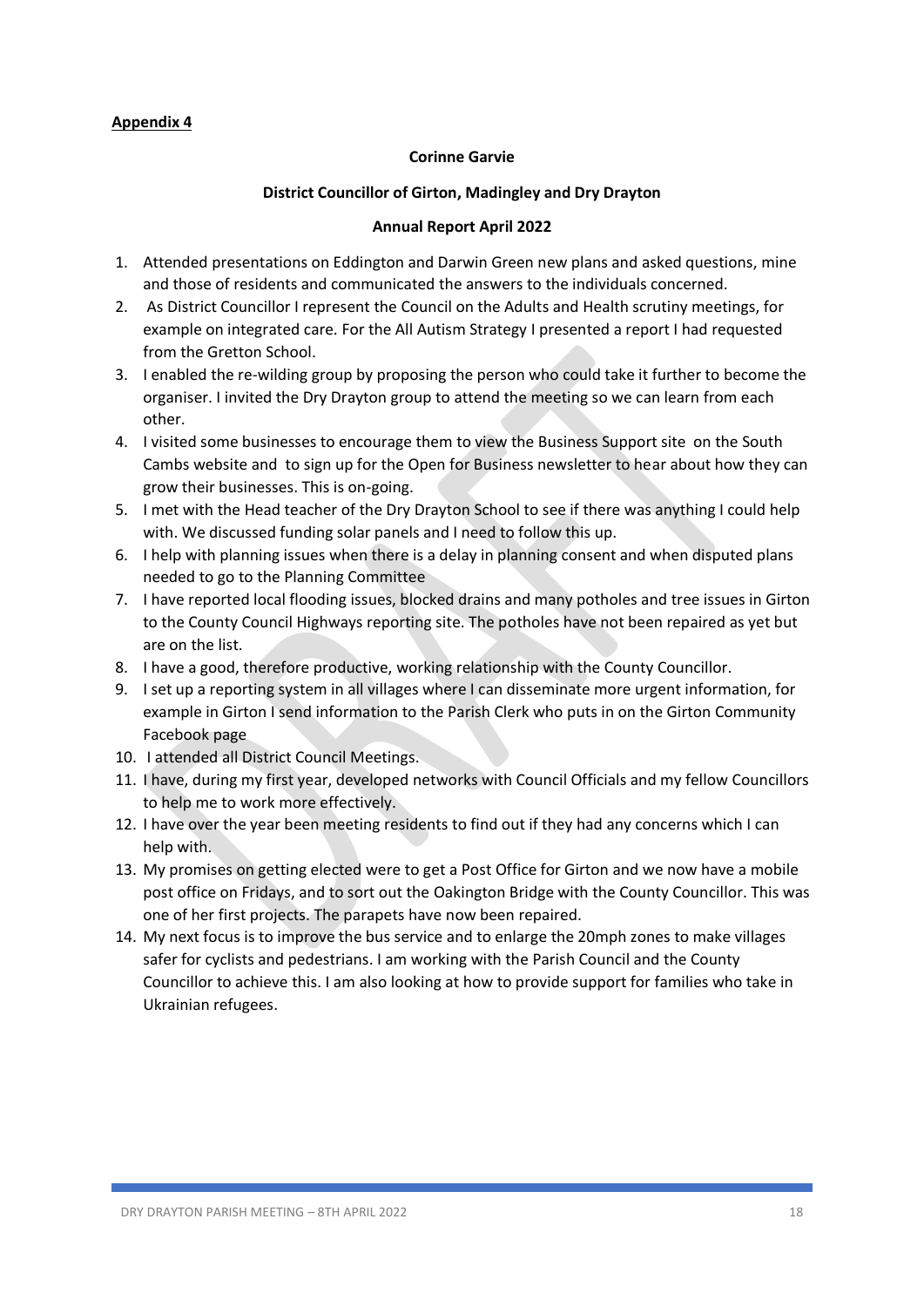## **Corinne Garvie**

## **District Councillor of Girton, Madingley and Dry Drayton**

## **Annual Report April 2022**

- 1. Attended presentations on Eddington and Darwin Green new plans and asked questions, mine and those of residents and communicated the answers to the individuals concerned.
- 2. As District Councillor I represent the Council on the Adults and Health scrutiny meetings, for example on integrated care. For the All Autism Strategy I presented a report I had requested from the Gretton School.
- 3. I enabled the re-wilding group by proposing the person who could take it further to become the organiser. I invited the Dry Drayton group to attend the meeting so we can learn from each other.
- 4. I visited some businesses to encourage them to view the Business Support site on the South Cambs website and to sign up for the Open for Business newsletter to hear about how they can grow their businesses. This is on-going.
- 5. I met with the Head teacher of the Dry Drayton School to see if there was anything I could help with. We discussed funding solar panels and I need to follow this up.
- 6. I help with planning issues when there is a delay in planning consent and when disputed plans needed to go to the Planning Committee
- 7. I have reported local flooding issues, blocked drains and many potholes and tree issues in Girton to the County Council Highways reporting site. The potholes have not been repaired as yet but are on the list.
- 8. I have a good, therefore productive, working relationship with the County Councillor.
- 9. I set up a reporting system in all villages where I can disseminate more urgent information, for example in Girton I send information to the Parish Clerk who puts in on the Girton Community Facebook page
- 10. I attended all District Council Meetings.
- 11. I have, during my first year, developed networks with Council Officials and my fellow Councillors to help me to work more effectively.
- 12. I have over the year been meeting residents to find out if they had any concerns which I can help with.
- 13. My promises on getting elected were to get a Post Office for Girton and we now have a mobile post office on Fridays, and to sort out the Oakington Bridge with the County Councillor. This was one of her first projects. The parapets have now been repaired.
- 14. My next focus is to improve the bus service and to enlarge the 20mph zones to make villages safer for cyclists and pedestrians. I am working with the Parish Council and the County Councillor to achieve this. I am also looking at how to provide support for families who take in Ukrainian refugees.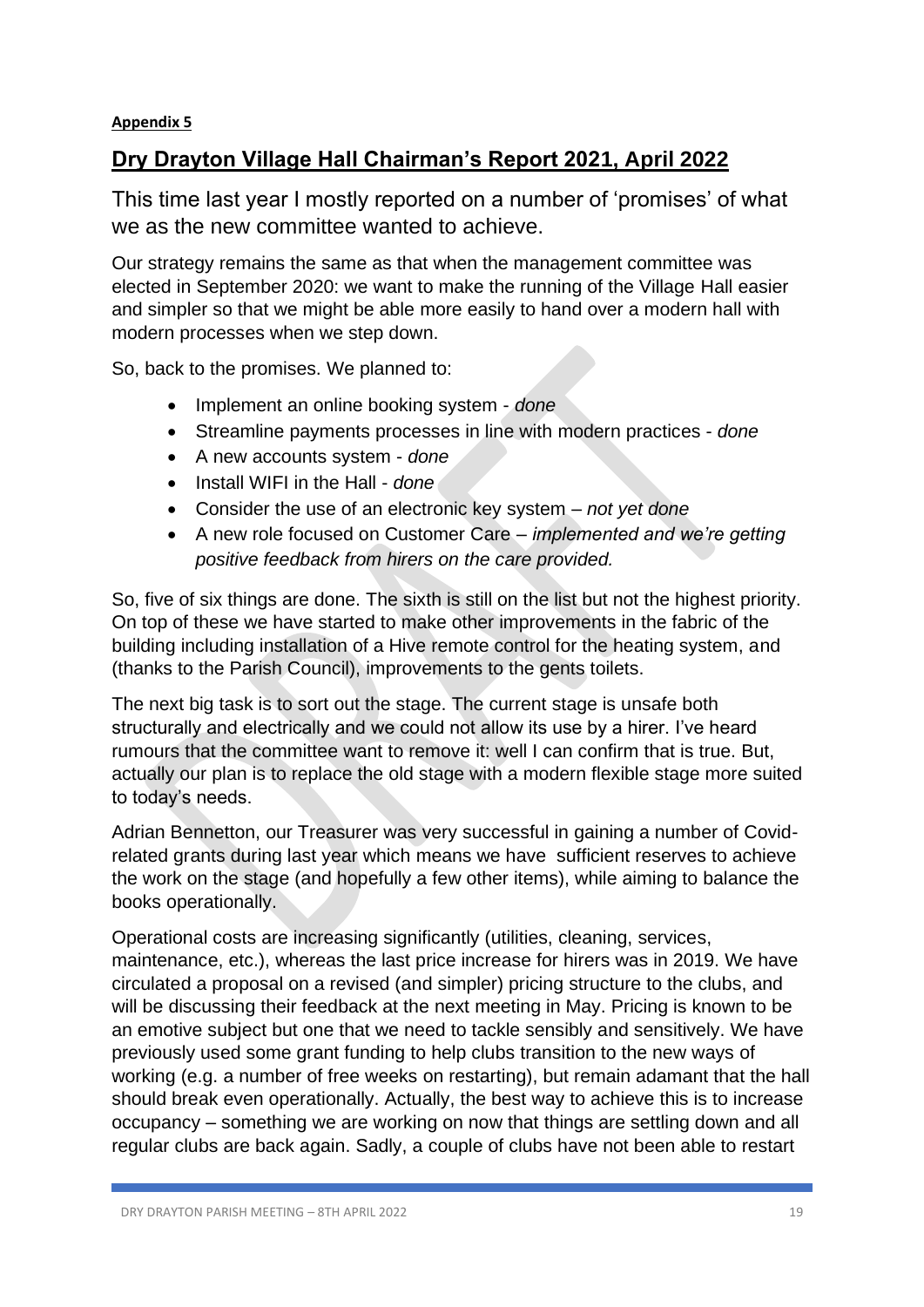## **Dry Drayton Village Hall Chairman's Report 2021, April 2022**

This time last year I mostly reported on a number of 'promises' of what we as the new committee wanted to achieve.

Our strategy remains the same as that when the management committee was elected in September 2020: we want to make the running of the Village Hall easier and simpler so that we might be able more easily to hand over a modern hall with modern processes when we step down.

So, back to the promises. We planned to:

- Implement an online booking system *done*
- Streamline payments processes in line with modern practices *done*
- A new accounts system *done*
- Install WIFI in the Hall *done*
- Consider the use of an electronic key system *not yet done*
- A new role focused on Customer Care *implemented and we're getting positive feedback from hirers on the care provided.*

So, five of six things are done. The sixth is still on the list but not the highest priority. On top of these we have started to make other improvements in the fabric of the building including installation of a Hive remote control for the heating system, and (thanks to the Parish Council), improvements to the gents toilets.

The next big task is to sort out the stage. The current stage is unsafe both structurally and electrically and we could not allow its use by a hirer. I've heard rumours that the committee want to remove it: well I can confirm that is true. But, actually our plan is to replace the old stage with a modern flexible stage more suited to today's needs.

Adrian Bennetton, our Treasurer was very successful in gaining a number of Covidrelated grants during last year which means we have sufficient reserves to achieve the work on the stage (and hopefully a few other items), while aiming to balance the books operationally.

Operational costs are increasing significantly (utilities, cleaning, services, maintenance, etc.), whereas the last price increase for hirers was in 2019. We have circulated a proposal on a revised (and simpler) pricing structure to the clubs, and will be discussing their feedback at the next meeting in May. Pricing is known to be an emotive subject but one that we need to tackle sensibly and sensitively. We have previously used some grant funding to help clubs transition to the new ways of working (e.g. a number of free weeks on restarting), but remain adamant that the hall should break even operationally. Actually, the best way to achieve this is to increase occupancy – something we are working on now that things are settling down and all regular clubs are back again. Sadly, a couple of clubs have not been able to restart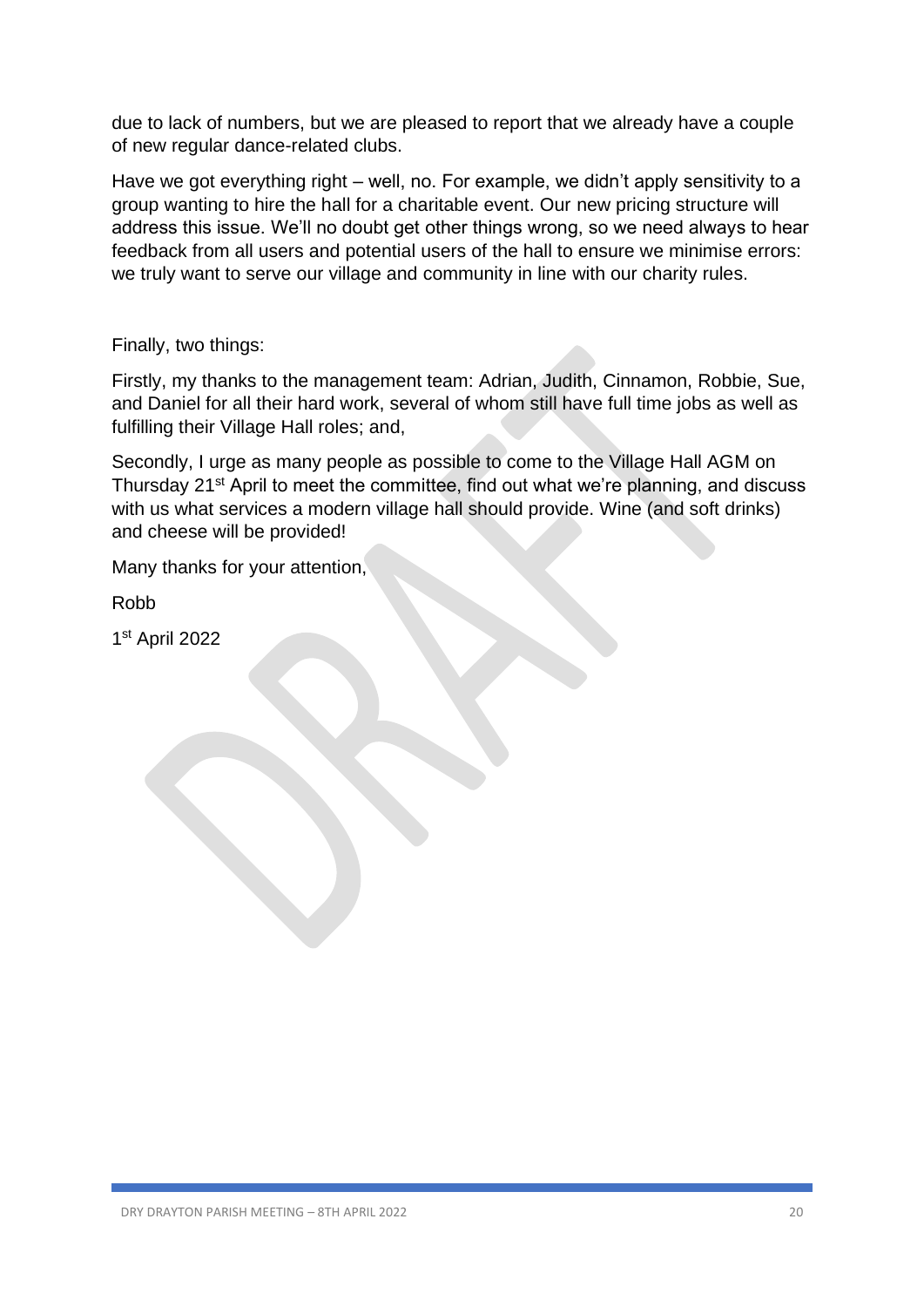due to lack of numbers, but we are pleased to report that we already have a couple of new regular dance-related clubs.

Have we got everything right – well, no. For example, we didn't apply sensitivity to a group wanting to hire the hall for a charitable event. Our new pricing structure will address this issue. We'll no doubt get other things wrong, so we need always to hear feedback from all users and potential users of the hall to ensure we minimise errors: we truly want to serve our village and community in line with our charity rules.

Finally, two things:

Firstly, my thanks to the management team: Adrian, Judith, Cinnamon, Robbie, Sue, and Daniel for all their hard work, several of whom still have full time jobs as well as fulfilling their Village Hall roles; and,

Secondly, I urge as many people as possible to come to the Village Hall AGM on Thursday 21st April to meet the committee, find out what we're planning, and discuss with us what services a modern village hall should provide. Wine (and soft drinks) and cheese will be provided!

Many thanks for your attention,

Robb

1 st April 2022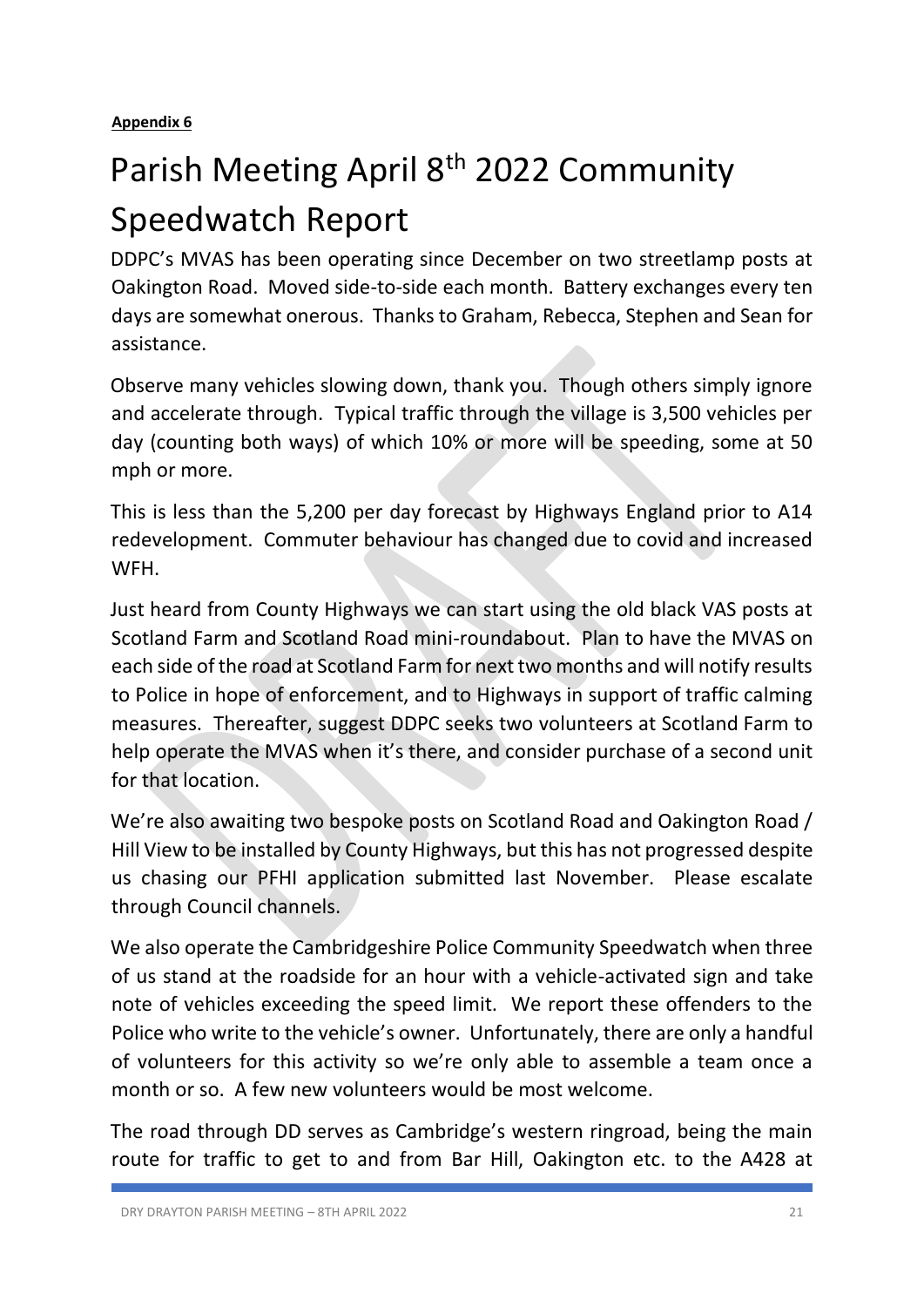# Parish Meeting April 8<sup>th</sup> 2022 Community Speedwatch Report

DDPC's MVAS has been operating since December on two streetlamp posts at Oakington Road. Moved side-to-side each month. Battery exchanges every ten days are somewhat onerous. Thanks to Graham, Rebecca, Stephen and Sean for assistance.

Observe many vehicles slowing down, thank you. Though others simply ignore and accelerate through. Typical traffic through the village is 3,500 vehicles per day (counting both ways) of which 10% or more will be speeding, some at 50 mph or more.

This is less than the 5,200 per day forecast by Highways England prior to A14 redevelopment. Commuter behaviour has changed due to covid and increased WFH.

Just heard from County Highways we can start using the old black VAS posts at Scotland Farm and Scotland Road mini-roundabout. Plan to have the MVAS on each side of the road at Scotland Farm for next two months and will notify results to Police in hope of enforcement, and to Highways in support of traffic calming measures. Thereafter, suggest DDPC seeks two volunteers at Scotland Farm to help operate the MVAS when it's there, and consider purchase of a second unit for that location.

We're also awaiting two bespoke posts on Scotland Road and Oakington Road / Hill View to be installed by County Highways, but this has not progressed despite us chasing our PFHI application submitted last November. Please escalate through Council channels.

We also operate the Cambridgeshire Police Community Speedwatch when three of us stand at the roadside for an hour with a vehicle-activated sign and take note of vehicles exceeding the speed limit. We report these offenders to the Police who write to the vehicle's owner. Unfortunately, there are only a handful of volunteers for this activity so we're only able to assemble a team once a month or so. A few new volunteers would be most welcome.

The road through DD serves as Cambridge's western ringroad, being the main route for traffic to get to and from Bar Hill, Oakington etc. to the A428 at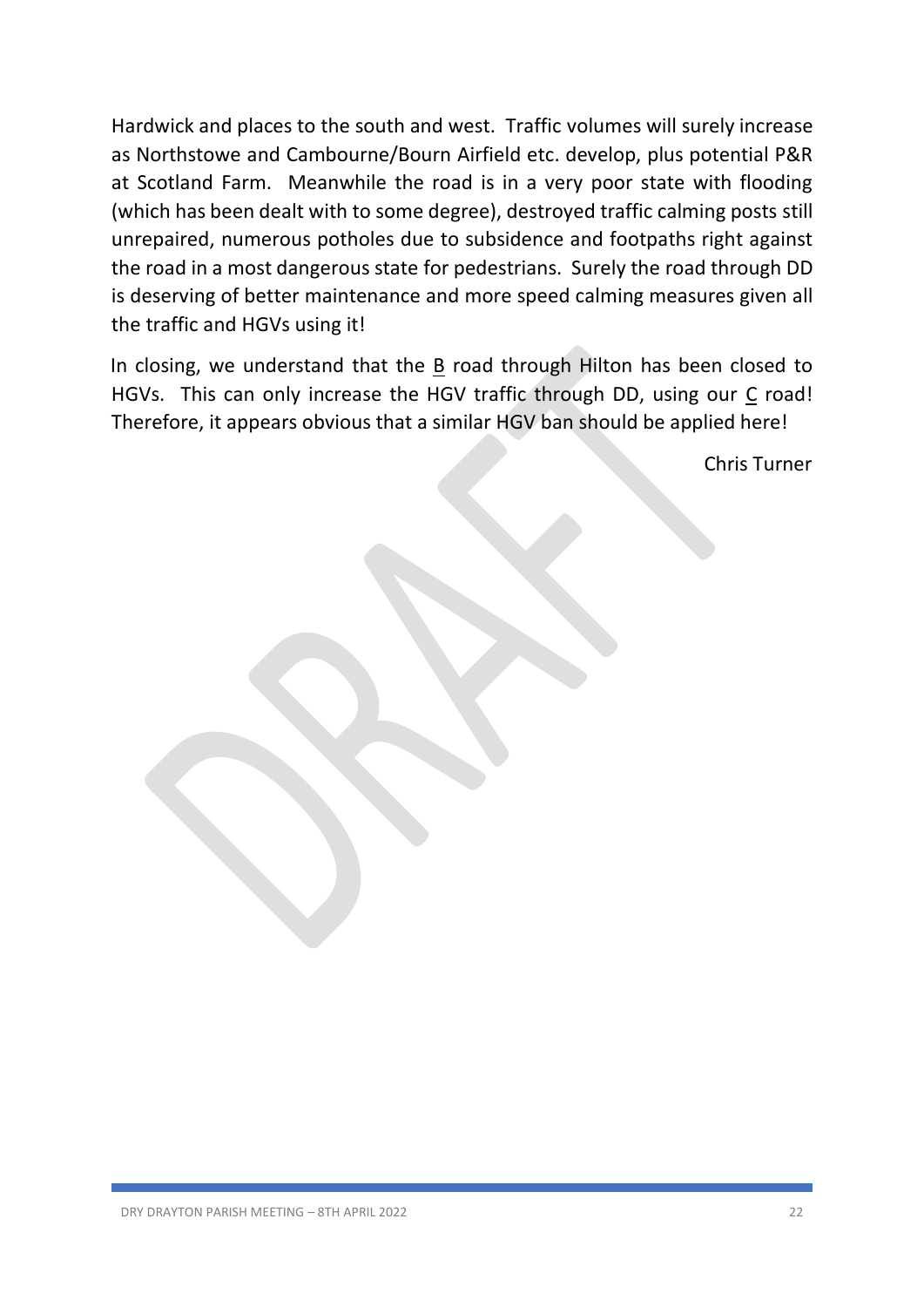Hardwick and places to the south and west. Traffic volumes will surely increase as Northstowe and Cambourne/Bourn Airfield etc. develop, plus potential P&R at Scotland Farm. Meanwhile the road is in a very poor state with flooding (which has been dealt with to some degree), destroyed traffic calming posts still unrepaired, numerous potholes due to subsidence and footpaths right against the road in a most dangerous state for pedestrians. Surely the road through DD is deserving of better maintenance and more speed calming measures given all the traffic and HGVs using it!

In closing, we understand that the B road through Hilton has been closed to HGVs. This can only increase the HGV traffic through DD, using our C road! Therefore, it appears obvious that a similar HGV ban should be applied here!

Chris Turner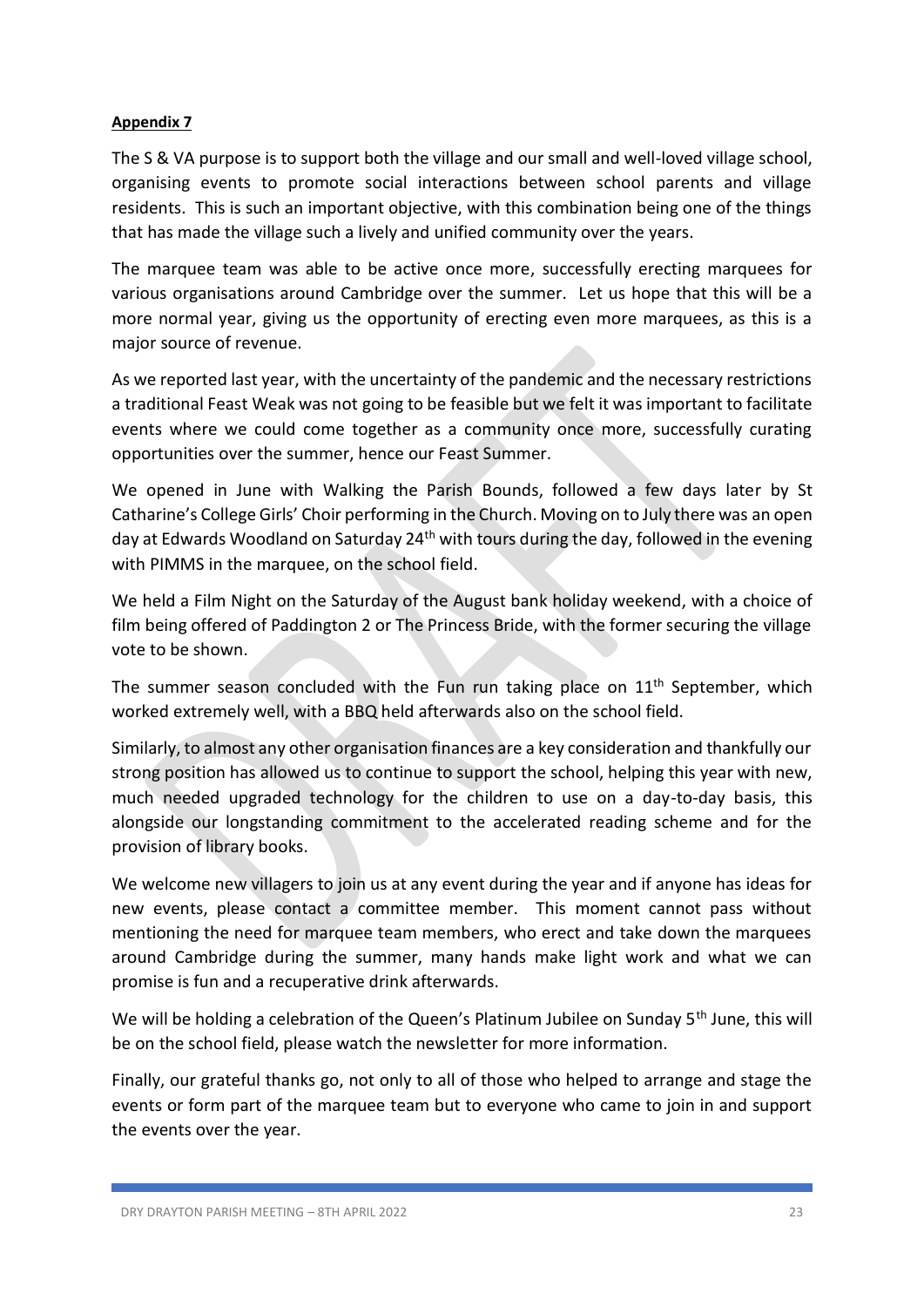The S & VA purpose is to support both the village and our small and well-loved village school, organising events to promote social interactions between school parents and village residents. This is such an important objective, with this combination being one of the things that has made the village such a lively and unified community over the years.

The marquee team was able to be active once more, successfully erecting marquees for various organisations around Cambridge over the summer. Let us hope that this will be a more normal year, giving us the opportunity of erecting even more marquees, as this is a major source of revenue.

As we reported last year, with the uncertainty of the pandemic and the necessary restrictions a traditional Feast Weak was not going to be feasible but we felt it was important to facilitate events where we could come together as a community once more, successfully curating opportunities over the summer, hence our Feast Summer.

We opened in June with Walking the Parish Bounds, followed a few days later by St Catharine's College Girls' Choir performing in the Church. Moving on to July there was an open day at Edwards Woodland on Saturday 24<sup>th</sup> with tours during the day, followed in the evening with PIMMS in the marquee, on the school field.

We held a Film Night on the Saturday of the August bank holiday weekend, with a choice of film being offered of Paddington 2 or The Princess Bride, with the former securing the village vote to be shown.

The summer season concluded with the Fun run taking place on 11<sup>th</sup> September, which worked extremely well, with a BBQ held afterwards also on the school field.

Similarly, to almost any other organisation finances are a key consideration and thankfully our strong position has allowed us to continue to support the school, helping this year with new, much needed upgraded technology for the children to use on a day-to-day basis, this alongside our longstanding commitment to the accelerated reading scheme and for the provision of library books.

We welcome new villagers to join us at any event during the year and if anyone has ideas for new events, please contact a committee member. This moment cannot pass without mentioning the need for marquee team members, who erect and take down the marquees around Cambridge during the summer, many hands make light work and what we can promise is fun and a recuperative drink afterwards.

We will be holding a celebration of the Queen's Platinum Jubilee on Sunday 5<sup>th</sup> June, this will be on the school field, please watch the newsletter for more information.

Finally, our grateful thanks go, not only to all of those who helped to arrange and stage the events or form part of the marquee team but to everyone who came to join in and support the events over the year.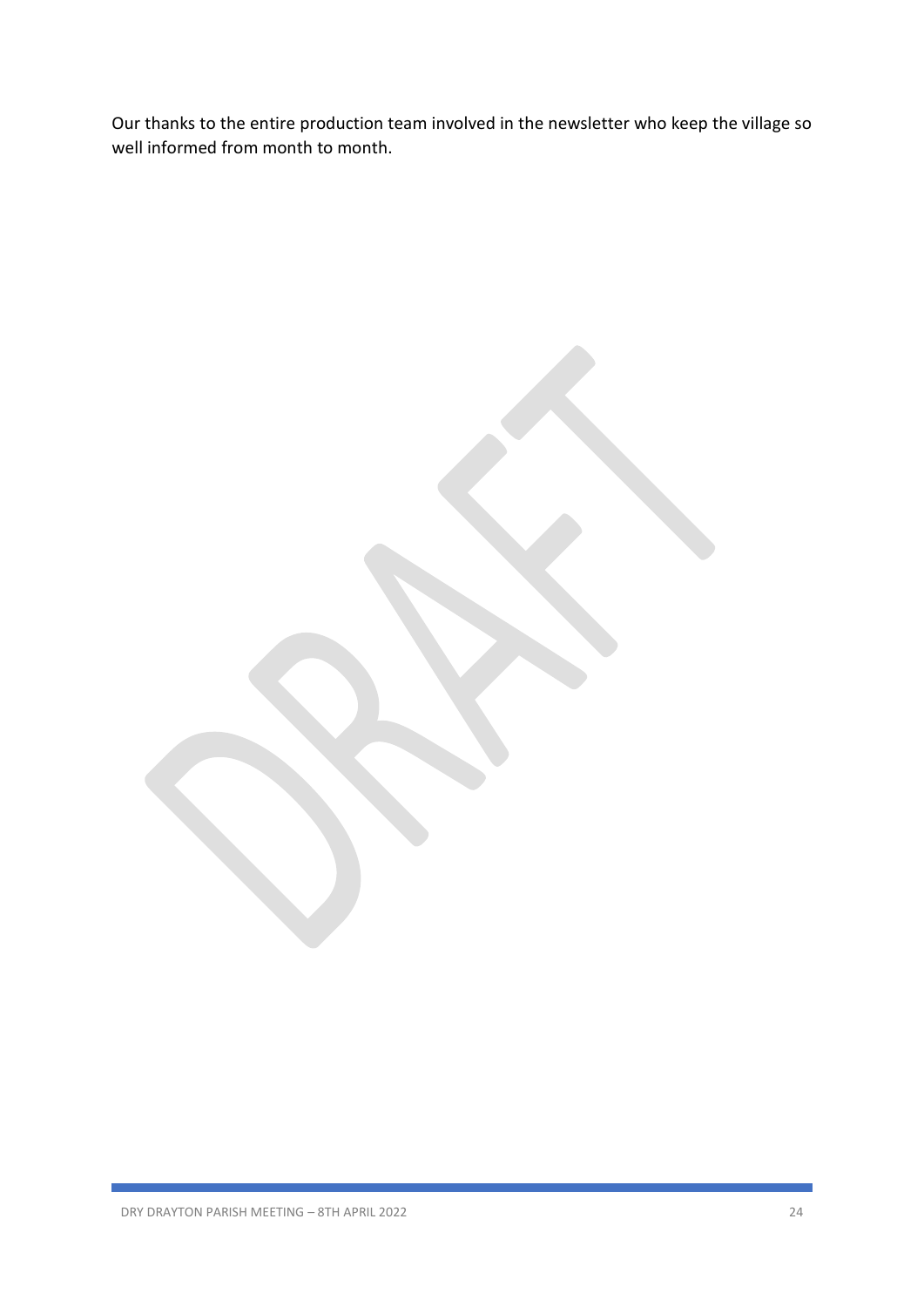Our thanks to the entire production team involved in the newsletter who keep the village so well informed from month to month.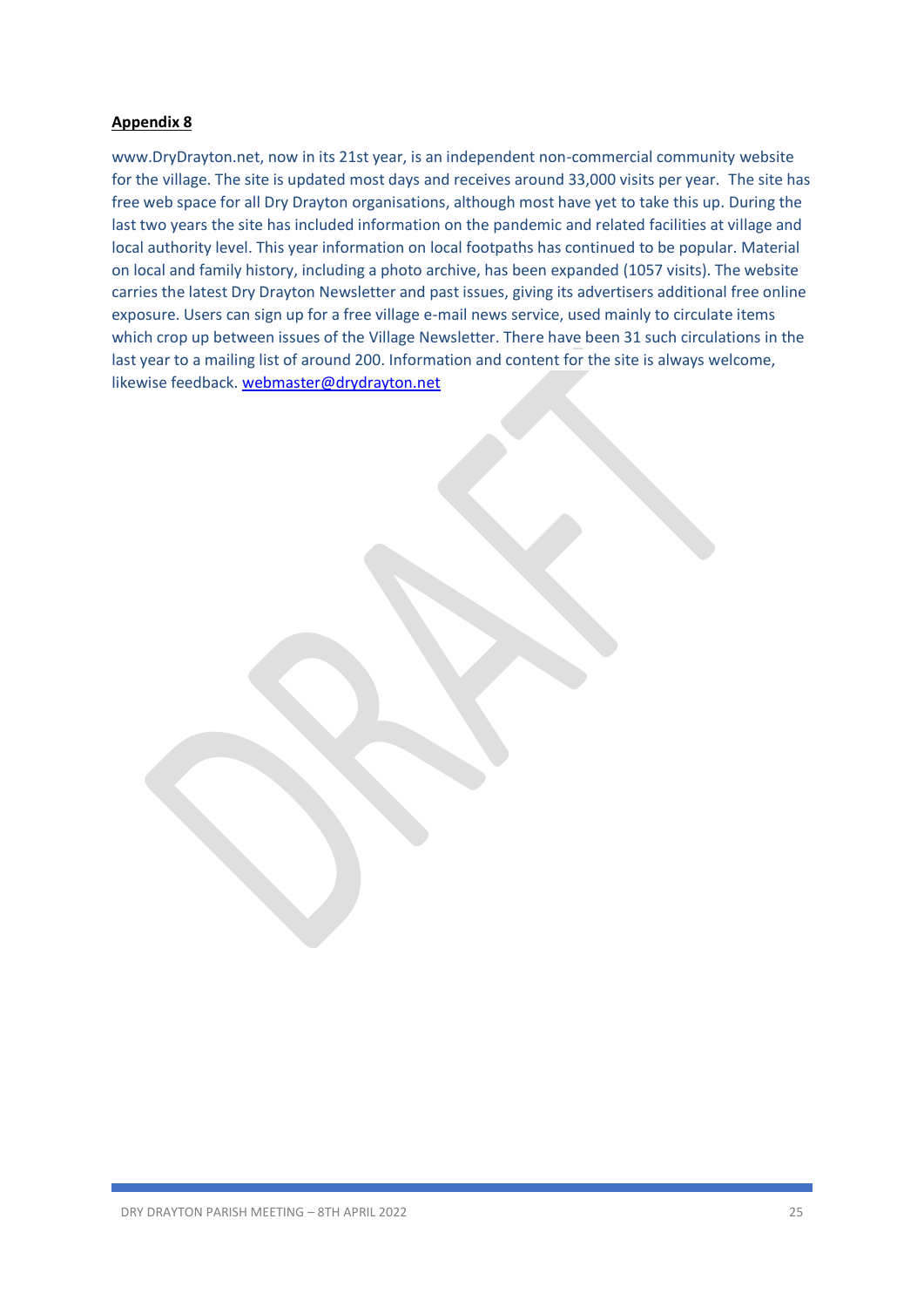www.DryDrayton.net, now in its 21st year, is an independent non-commercial community website for the village. The site is updated most days and receives around 33,000 visits per year. The site has free web space for all Dry Drayton organisations, although most have yet to take this up. During the last two years the site has included information on the pandemic and related facilities at village and local authority level. This year information on local footpaths has continued to be popular. Material on local and family history, including a photo archive, has been expanded (1057 visits). The website carries the latest Dry Drayton Newsletter and past issues, giving its advertisers additional free online exposure. Users can sign up for a free village e-mail news service, used mainly to circulate items which crop up between issues of the Village Newsletter. There have been 31 such circulations in the last year to a mailing list of around 200. Information and content for the site is always welcome, likewise feedback. [webmaster@drydrayton.net](javascript:void(0);)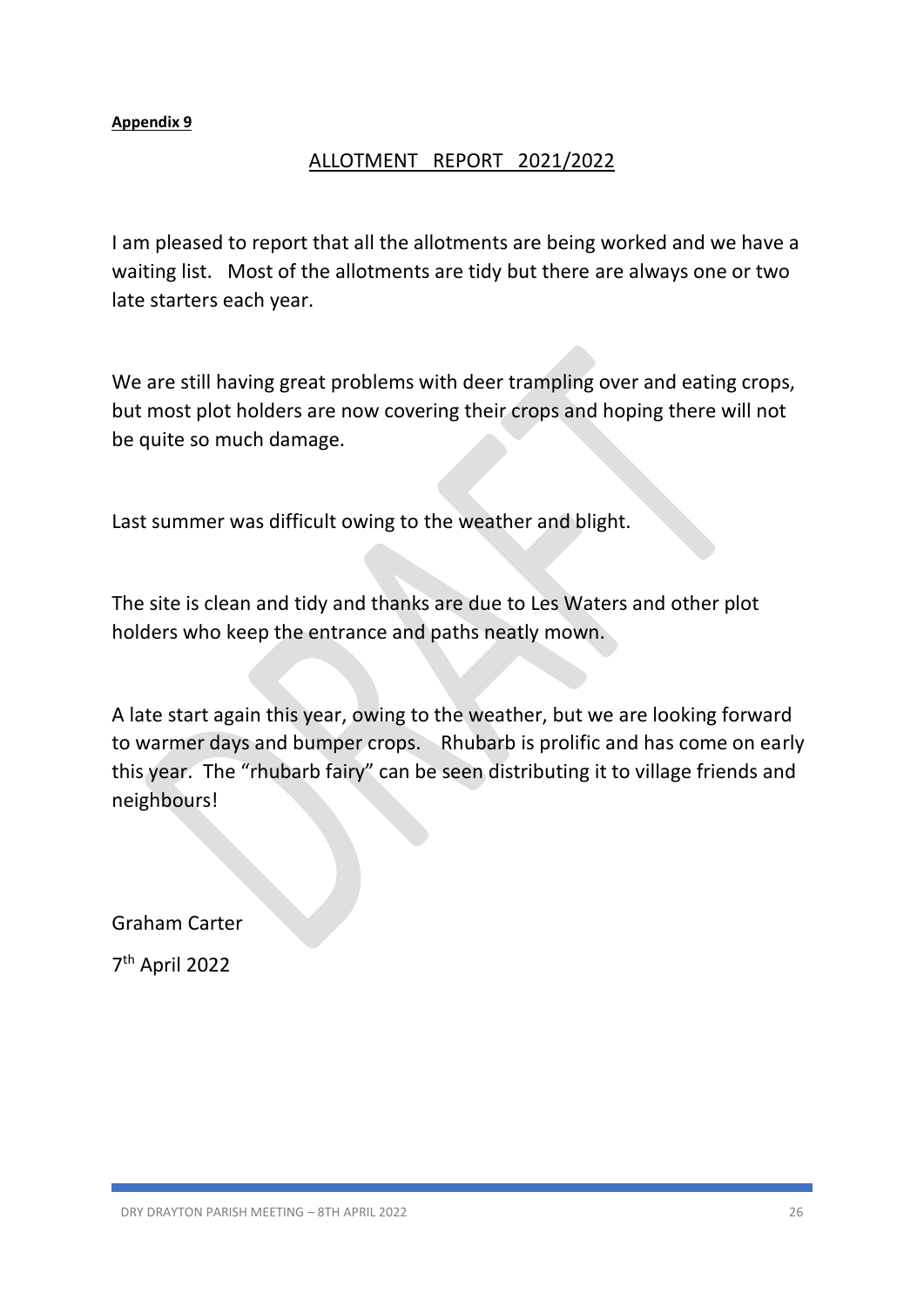## ALLOTMENT REPORT 2021/2022

I am pleased to report that all the allotments are being worked and we have a waiting list. Most of the allotments are tidy but there are always one or two late starters each year.

We are still having great problems with deer trampling over and eating crops, but most plot holders are now covering their crops and hoping there will not be quite so much damage.

Last summer was difficult owing to the weather and blight.

The site is clean and tidy and thanks are due to Les Waters and other plot holders who keep the entrance and paths neatly mown.

A late start again this year, owing to the weather, but we are looking forward to warmer days and bumper crops. Rhubarb is prolific and has come on early this year. The "rhubarb fairy" can be seen distributing it to village friends and neighbours!

Graham Carter

7 th April 2022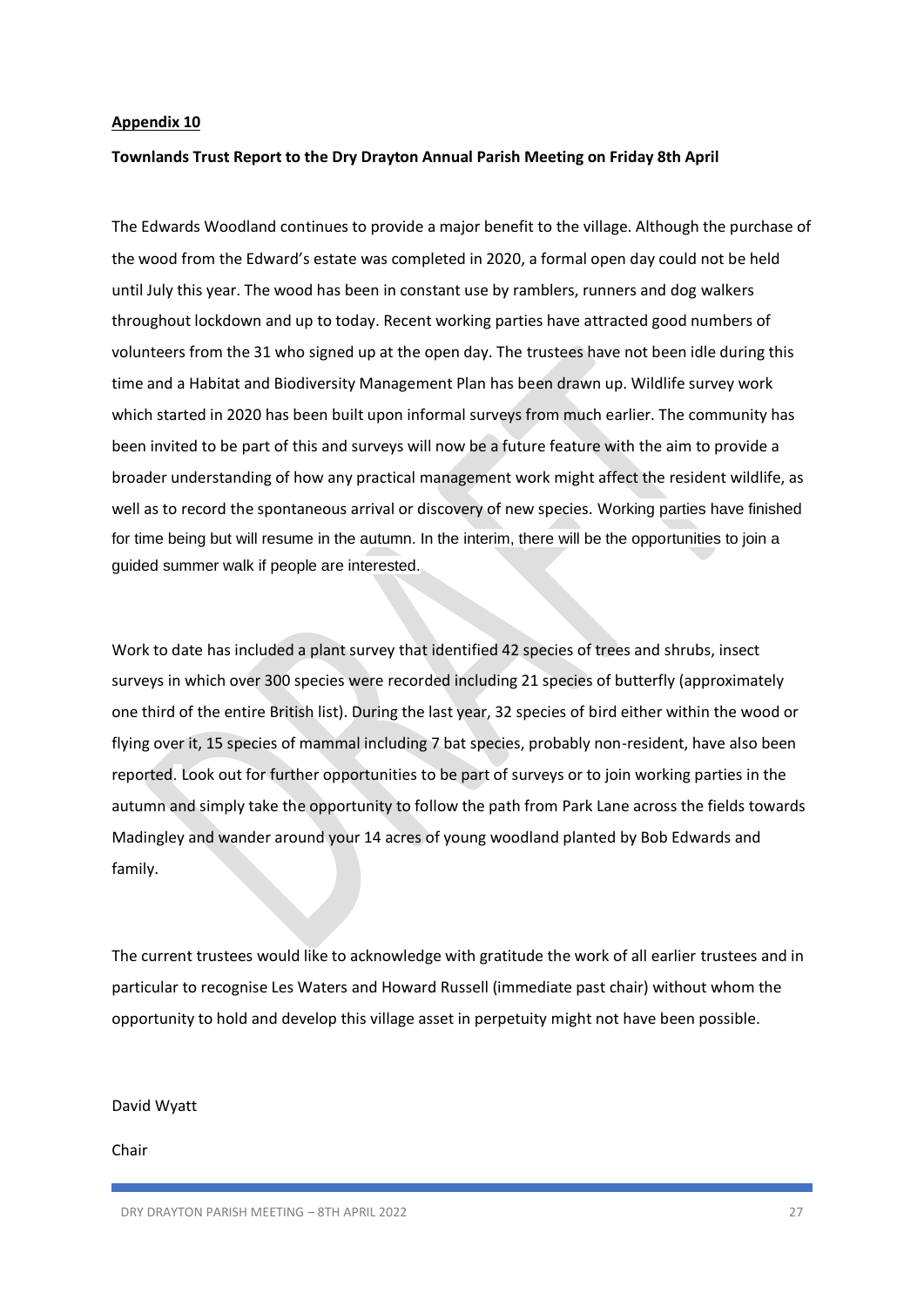#### **Townlands Trust Report to the Dry Drayton Annual Parish Meeting on Friday 8th April**

The Edwards Woodland continues to provide a major benefit to the village. Although the purchase of the wood from the Edward's estate was completed in 2020, a formal open day could not be held until July this year. The wood has been in constant use by ramblers, runners and dog walkers throughout lockdown and up to today. Recent working parties have attracted good numbers of volunteers from the 31 who signed up at the open day. The trustees have not been idle during this time and a Habitat and Biodiversity Management Plan has been drawn up. Wildlife survey work which started in 2020 has been built upon informal surveys from much earlier. The community has been invited to be part of this and surveys will now be a future feature with the aim to provide a broader understanding of how any practical management work might affect the resident wildlife, as well as to record the spontaneous arrival or discovery of new species. Working parties have finished for time being but will resume in the autumn. In the interim, there will be the opportunities to join a guided summer walk if people are interested.

Work to date has included a plant survey that identified 42 species of trees and shrubs, insect surveys in which over 300 species were recorded including 21 species of butterfly (approximately one third of the entire British list). During the last year, 32 species of bird either within the wood or flying over it, 15 species of mammal including 7 bat species, probably non-resident, have also been reported. Look out for further opportunities to be part of surveys or to join working parties in the autumn and simply take the opportunity to follow the path from Park Lane across the fields towards Madingley and wander around your 14 acres of young woodland planted by Bob Edwards and family.

The current trustees would like to acknowledge with gratitude the work of all earlier trustees and in particular to recognise Les Waters and Howard Russell (immediate past chair) without whom the opportunity to hold and develop this village asset in perpetuity might not have been possible.

#### David Wyatt

Chair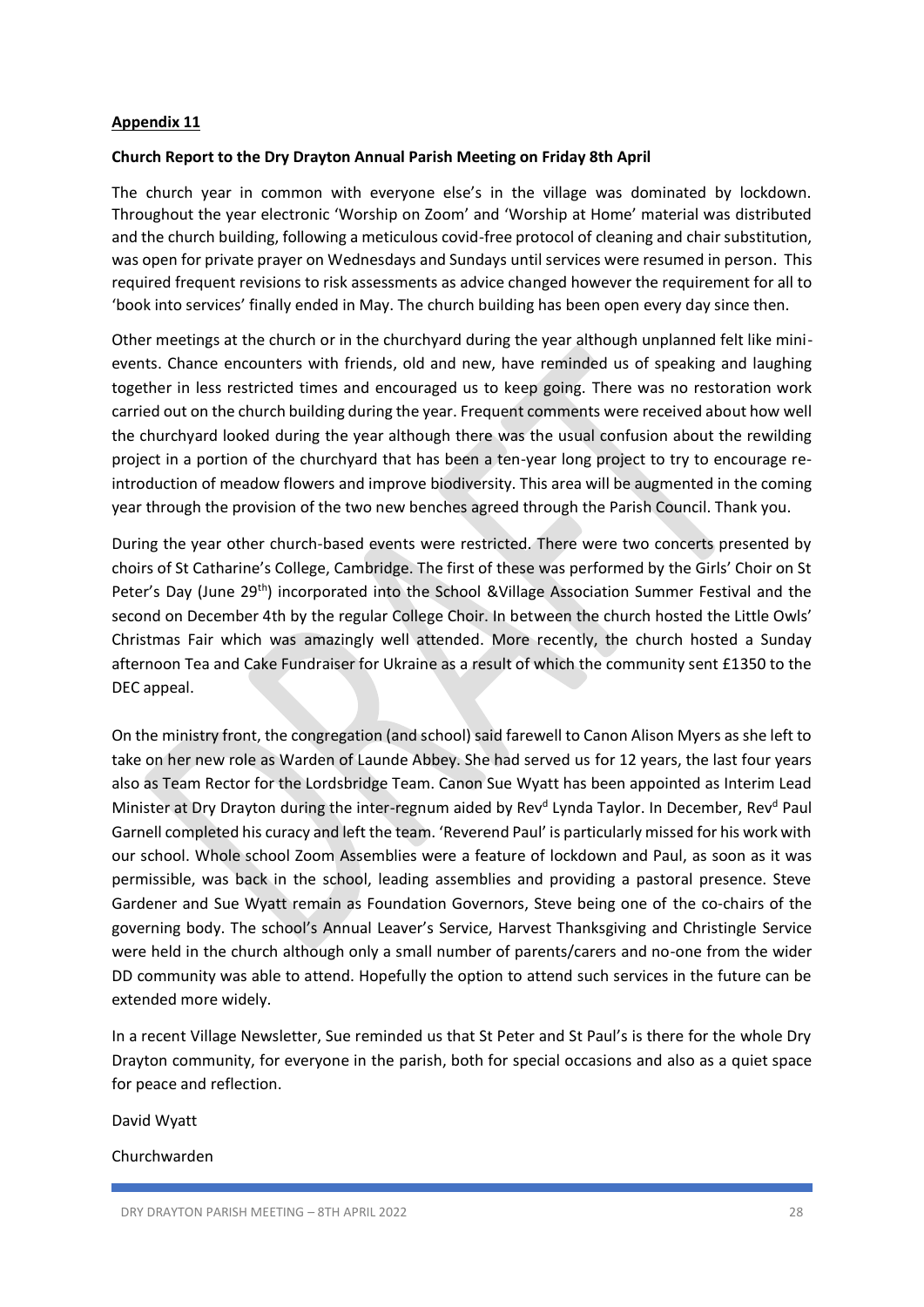#### **Church Report to the Dry Drayton Annual Parish Meeting on Friday 8th April**

The church year in common with everyone else's in the village was dominated by lockdown. Throughout the year electronic 'Worship on Zoom' and 'Worship at Home' material was distributed and the church building, following a meticulous covid-free protocol of cleaning and chair substitution, was open for private prayer on Wednesdays and Sundays until services were resumed in person. This required frequent revisions to risk assessments as advice changed however the requirement for all to 'book into services' finally ended in May. The church building has been open every day since then.

Other meetings at the church or in the churchyard during the year although unplanned felt like minievents. Chance encounters with friends, old and new, have reminded us of speaking and laughing together in less restricted times and encouraged us to keep going. There was no restoration work carried out on the church building during the year. Frequent comments were received about how well the churchyard looked during the year although there was the usual confusion about the rewilding project in a portion of the churchyard that has been a ten-year long project to try to encourage reintroduction of meadow flowers and improve biodiversity. This area will be augmented in the coming year through the provision of the two new benches agreed through the Parish Council. Thank you.

During the year other church-based events were restricted. There were two concerts presented by choirs of St Catharine's College, Cambridge. The first of these was performed by the Girls' Choir on St Peter's Day (June 29<sup>th</sup>) incorporated into the School &Village Association Summer Festival and the second on December 4th by the regular College Choir. In between the church hosted the Little Owls' Christmas Fair which was amazingly well attended. More recently, the church hosted a Sunday afternoon Tea and Cake Fundraiser for Ukraine as a result of which the community sent £1350 to the DEC appeal.

On the ministry front, the congregation (and school) said farewell to Canon Alison Myers as she left to take on her new role as Warden of Launde Abbey. She had served us for 12 years, the last four years also as Team Rector for the Lordsbridge Team. Canon Sue Wyatt has been appointed as Interim Lead Minister at Dry Drayton during the inter-regnum aided by Rev<sup>d</sup> Lynda Taylor. In December, Rev<sup>d</sup> Paul Garnell completed his curacy and left the team. 'Reverend Paul' is particularly missed for his work with our school. Whole school Zoom Assemblies were a feature of lockdown and Paul, as soon as it was permissible, was back in the school, leading assemblies and providing a pastoral presence. Steve Gardener and Sue Wyatt remain as Foundation Governors, Steve being one of the co-chairs of the governing body. The school's Annual Leaver's Service, Harvest Thanksgiving and Christingle Service were held in the church although only a small number of parents/carers and no-one from the wider DD community was able to attend. Hopefully the option to attend such services in the future can be extended more widely.

In a recent Village Newsletter, Sue reminded us that St Peter and St Paul's is there for the whole Dry Drayton community, for everyone in the parish, both for special occasions and also as a quiet space for peace and reflection.

David Wyatt

Churchwarden